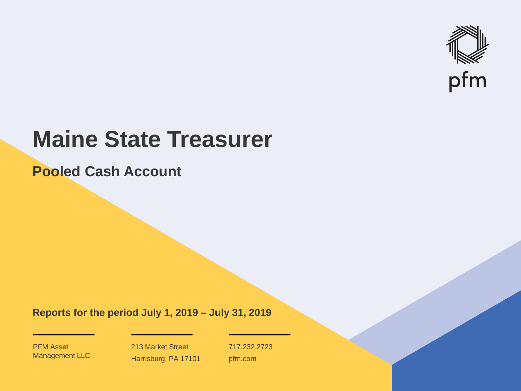

# **Maine State Treasurer**

**Pooled Cash Account**

**Reports for the period July 1, 2019 – July 31, 2019**

PFM Asset Management LLC

213 Market Street Harrisburg, PA 17101 717.232.2723 pfm.com

 $\mathcal{P}_\text{max}$  and  $\mathcal{P}_\text{max}$  is the probability of  $\mathcal{P}_\text{max}$  and  $\mathcal{P}_\text{max}$  and  $\mathcal{P}_\text{max}$  and  $\mathcal{P}_\text{max}$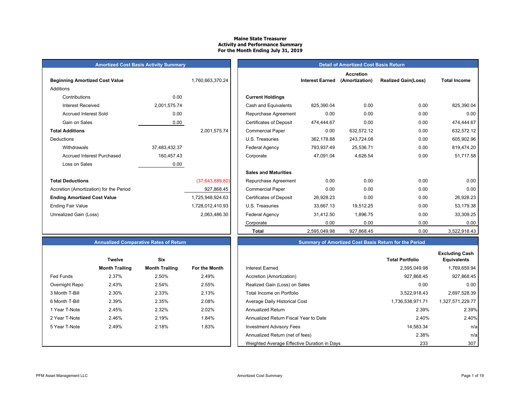#### **Maine State TreasurerActivity and Performance Summary For the Month Ending July 31, 2019**

### **Amortized Cost Basis Activity Summary**<br> **Amortized Cost Basis Return**

| <b>Beginning Amortized Cost Value</b>   |               | 1,760,663,370.24 | <b>Interest Earned</b>                       |
|-----------------------------------------|---------------|------------------|----------------------------------------------|
| Additions                               |               |                  |                                              |
| Contributions                           | 0.00          |                  | <b>Current Holdings</b>                      |
| Interest Received                       | 2,001,575.74  |                  | Cash and Equivalents<br>825,390.04           |
| <b>Accrued Interest Sold</b>            | 0.00          |                  | 0.00<br>Repurchase Agreement                 |
| Gain on Sales                           | 0.00          |                  | <b>Certificates of Deposit</b><br>474,444.67 |
| <b>Total Additions</b>                  |               | 2,001,575.74     | 0.00<br><b>Commercial Paper</b>              |
| Deductions                              |               |                  | U.S. Treasuries<br>362,178.88                |
| Withdrawals                             | 37,483,432.37 |                  | Federal Agency<br>793,937.49                 |
| <b>Accrued Interest Purchased</b>       | 160,457.43    |                  | 47,091.04<br>Corporate                       |
| Loss on Sales                           | 0.00          |                  |                                              |
|                                         |               |                  | <b>Sales and Maturities</b>                  |
| <b>Total Deductions</b>                 |               | (37,643,889.80)  | 0.00<br>Repurchase Agreement                 |
| Accretion (Amortization) for the Period |               | 927,868.45       | 0.00<br><b>Commercial Paper</b>              |
| <b>Ending Amortized Cost Value</b>      |               | 1,725,948,924.63 | <b>Certificates of Deposit</b><br>26,928.23  |
| <b>Ending Fair Value</b>                |               | 1,728,012,410.93 | 33,667.13<br>U.S. Treasuries                 |
| Unrealized Gain (Loss)                  |               | 2,063,486.30     | <b>Federal Agency</b><br>31,412.50           |
|                                         |               |                  |                                              |

|                                         |               |                  |                                |                        | <b>Accretion</b> |                            |                     |
|-----------------------------------------|---------------|------------------|--------------------------------|------------------------|------------------|----------------------------|---------------------|
| <b>Beginning Amortized Cost Value</b>   |               | 1,760,663,370.24 |                                | <b>Interest Earned</b> | (Amortization)   | <b>Realized Gain(Loss)</b> | <b>Total Income</b> |
| Additions                               |               |                  |                                |                        |                  |                            |                     |
| Contributions                           | 0.00          |                  | <b>Current Holdings</b>        |                        |                  |                            |                     |
| <b>Interest Received</b>                | 2,001,575.74  |                  | Cash and Equivalents           | 825,390.04             | 0.00             | 0.00                       | 825,390.04          |
| <b>Accrued Interest Sold</b>            | 0.00          |                  | Repurchase Agreement           | 0.00                   | 0.00             | 0.00                       | 0.00                |
| Gain on Sales                           | 0.00          |                  | <b>Certificates of Deposit</b> | 474,444.67             | 0.00             | 0.00                       | 474,444.67          |
| <b>Total Additions</b>                  |               | 2,001,575.74     | <b>Commercial Paper</b>        | 0.00                   | 632,572.12       | 0.00                       | 632,572.12          |
| Deductions                              |               |                  | U.S. Treasuries                | 362,178.88             | 243,724.08       | 0.00                       | 605,902.96          |
| Withdrawals                             | 37,483,432.37 |                  | Federal Agency                 | 793,937.49             | 25,536.71        | 0.00                       | 819,474.20          |
| <b>Accrued Interest Purchased</b>       | 160,457.43    |                  | Corporate                      | 47,091.04              | 4,626.54         | 0.00                       | 51,717.58           |
| Loss on Sales                           | 0.00          |                  |                                |                        |                  |                            |                     |
|                                         |               |                  | <b>Sales and Maturities</b>    |                        |                  |                            |                     |
| <b>Total Deductions</b>                 |               | (37,643,889.80)  | Repurchase Agreement           | 0.00                   | 0.00             | 0.00                       | 0.00                |
| Accretion (Amortization) for the Period |               | 927,868.45       | <b>Commercial Paper</b>        | 0.00                   | 0.00             | 0.00                       | 0.00                |
| <b>Ending Amortized Cost Value</b>      |               | 1,725,948,924.63 | <b>Certificates of Deposit</b> | 26,928.23              | 0.00             | 0.00                       | 26,928.23           |
| Ending Fair Value                       |               | 1,728,012,410.93 | U.S. Treasuries                | 33,667.13              | 19,512.25        | 0.00                       | 53,179.38           |
| Unrealized Gain (Loss)                  |               | 2,063,486.30     | <b>Federal Agency</b>          | 31,412.50              | 1,896.75         | 0.00                       | 33,309.25           |
|                                         |               |                  | Corporate                      | 0.00                   | 0.00             | 0.00                       | 0.00                |
|                                         |               |                  | Total                          | 2,595,049.98           | 927,868.45       | 0.00                       | 3,522,918.43        |

|                | <b>Twelve</b>         | Six                   |               |
|----------------|-----------------------|-----------------------|---------------|
|                | <b>Month Trailing</b> | <b>Month Trailing</b> | For the Month |
| Fed Funds      | 2.37%                 | 2.50%                 | 2.49%         |
| Overnight Repo | 2.43%                 | 2.54%                 | 2.55%         |
| 3 Month T-Bill | 2.30%                 | 2.33%                 | 2.13%         |
| 6 Month T-Bill | 2.39%                 | 2.35%                 | 2.08%         |
| 1 Year T-Note  | 2.45%                 | 2.32%                 | 2.02%         |
| 2 Year T-Note  | 2.46%                 | 2.19%                 | 1.84%         |
| 5 Year T-Note  | 2.49%                 | 2.18%                 | 1.83%         |
|                |                       |                       |               |
|                |                       |                       |               |

# **Annualized Comparative Rates of Return Summary of Amortized Cost Basis Return for the Period**

|                | <b>Twelve</b>         | Six                   |               |                                             | <b>Total Portfolio</b> | <b>Excluding Cash</b><br><b>Equivalents</b> |
|----------------|-----------------------|-----------------------|---------------|---------------------------------------------|------------------------|---------------------------------------------|
|                | <b>Month Trailing</b> | <b>Month Trailing</b> | For the Month | Interest Earned                             | 2,595,049.98           | 1,769,659.94                                |
| Fed Funds      | 2.37%                 | 2.50%                 | 2.49%         | Accretion (Amortization)                    | 927,868.45             | 927,868.45                                  |
| Overnight Repo | 2.43%                 | 2.54%                 | 2.55%         | Realized Gain (Loss) on Sales               | 0.00                   | 0.00                                        |
| 3 Month T-Bill | 2.30%                 | 2.33%                 | 2.13%         | Total Income on Portfolio                   | 3,522,918.43           | 2,697,528.39                                |
| 6 Month T-Bill | 2.39%                 | 2.35%                 | 2.08%         | Average Daily Historical Cost               | 1,736,538,971.71       | 1,327,571,229.77                            |
| 1 Year T-Note  | 2.45%                 | 2.32%                 | 2.02%         | Annualized Return                           | 2.39%                  | 2.39%                                       |
| 2 Year T-Note  | 2.46%                 | 2.19%                 | 1.84%         | Annualized Return Fiscal Year to Date       | 2.40%                  | 2.40%                                       |
| 5 Year T-Note  | 2.49%                 | 2.18%                 | 1.83%         | <b>Investment Advisory Fees</b>             | 14,583.34              | n/a                                         |
|                |                       |                       |               | Annualized Return (net of fees)             | 2.38%                  | n/a                                         |
|                |                       |                       |               | Weighted Average Effective Duration in Days | 233                    | 307                                         |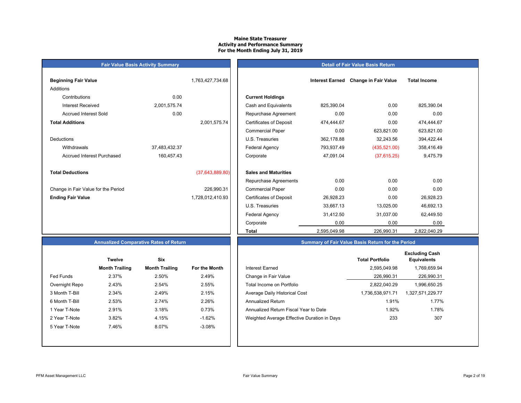#### **Maine State TreasurerActivity and Performance Summary For the Month Ending July 31, 2019**

## **Fair Value Basis Activity Summary**

### **Detail of Fair Value Basis Return**

| <b>Beginning Fair Value</b>         |               | 1,763,427,734.68 |                                |
|-------------------------------------|---------------|------------------|--------------------------------|
| Additions                           |               |                  |                                |
| Contributions                       | 0.00          |                  | <b>Current Holdings</b>        |
| Interest Received                   | 2,001,575.74  |                  | Cash and Equivalents           |
| <b>Accrued Interest Sold</b>        | 0.00          |                  | Repurchase Agreeme             |
| <b>Total Additions</b>              |               | 2,001,575.74     | <b>Certificates of Deposit</b> |
|                                     |               |                  | <b>Commercial Paper</b>        |
| Deductions                          |               |                  | U.S. Treasuries                |
| Withdrawals                         | 37,483,432.37 |                  | <b>Federal Agency</b>          |
| <b>Accrued Interest Purchased</b>   | 160,457.43    |                  | Corporate                      |
|                                     |               |                  |                                |
| <b>Total Deductions</b>             |               | (37,643,889.80)  | <b>Sales and Maturities</b>    |
|                                     |               |                  | Repurchase Agreeme             |
| Change in Fair Value for the Period |               | 226,990.31       | <b>Commercial Paper</b>        |
| <b>Ending Fair Value</b>            |               | 1,728,012,410.93 | <b>Certificates of Deposit</b> |

| Beginning Fair Value                |               | 1,763,427,734.68 |                                | <b>Interest Earned</b> | <b>Change in Fair Value</b> | <b>Total Income</b> |  |
|-------------------------------------|---------------|------------------|--------------------------------|------------------------|-----------------------------|---------------------|--|
| Additions                           |               |                  |                                |                        |                             |                     |  |
| Contributions                       | 0.00          |                  | <b>Current Holdings</b>        |                        |                             |                     |  |
| <b>Interest Received</b>            | 2,001,575.74  |                  | Cash and Equivalents           | 825,390.04             | 0.00                        | 825,390.04          |  |
| <b>Accrued Interest Sold</b>        | 0.00          |                  | Repurchase Agreement           | 0.00                   | 0.00                        | 0.00                |  |
| <b>Total Additions</b>              |               | 2,001,575.74     | <b>Certificates of Deposit</b> | 474,444.67             | 0.00                        | 474,444.67          |  |
|                                     |               |                  | <b>Commercial Paper</b>        | 0.00                   | 623,821.00                  | 623,821.00          |  |
| Deductions                          |               |                  | U.S. Treasuries                | 362,178.88             | 32,243.56                   | 394,422.44          |  |
| Withdrawals                         | 37,483,432.37 |                  | <b>Federal Agency</b>          | 793,937.49             | (435, 521.00)               | 358,416.49          |  |
| <b>Accrued Interest Purchased</b>   | 160,457.43    |                  | Corporate                      | 47,091.04              | (37,615.25)                 | 9,475.79            |  |
| <b>Total Deductions</b>             |               | (37,643,889.80)  | <b>Sales and Maturities</b>    |                        |                             |                     |  |
|                                     |               |                  | Repurchase Agreements          | 0.00                   | 0.00                        | 0.00                |  |
| Change in Fair Value for the Period |               | 226,990.31       | <b>Commercial Paper</b>        | 0.00                   | 0.00                        | 0.00                |  |
| <b>Ending Fair Value</b>            |               | 1,728,012,410.93 | <b>Certificates of Deposit</b> | 26,928.23              | 0.00                        | 26,928.23           |  |
|                                     |               |                  | U.S. Treasuries                | 33,667.13              | 13,025.00                   | 46,692.13           |  |
|                                     |               |                  | Federal Agency                 | 31,412.50              | 31,037.00                   | 62,449.50           |  |
|                                     |               |                  | Corporate                      | 0.00                   | 0.00                        | 0.00                |  |
|                                     |               |                  | Total                          | 2,595,049.98           | 226,990.31                  | 2,822,040.29        |  |

### **Annualized Comparative Rates of Return**

|                | <b>Twelve</b>         | Six                   |                      |
|----------------|-----------------------|-----------------------|----------------------|
|                | <b>Month Trailing</b> | <b>Month Trailing</b> | <b>For the Month</b> |
| Fed Funds      | 2.37%                 | 2.50%                 | 2.49%                |
| Overnight Repo | 2.43%                 | 2.54%                 | 2.55%                |
| 3 Month T-Bill | 2.34%                 | 2.49%                 | 2.15%                |
| 6 Month T-Bill | 2.53%                 | 2.74%                 | 2.26%                |
| 1 Year T-Note  | 2.91%                 | 3.18%                 | 0.73%                |
| 2 Year T-Note  | 3.82%                 | 4.15%                 | $-1.62%$             |
| 5 Year T-Note  | 7.46%                 | 8.07%                 | $-3.08%$             |

|                | <b>Twelve</b>         | <b>Six</b>            |               |                                             | <b>Total Portfolio</b> | <b>Excluding Cash</b><br><b>Equivalents</b> |
|----------------|-----------------------|-----------------------|---------------|---------------------------------------------|------------------------|---------------------------------------------|
|                | <b>Month Trailing</b> | <b>Month Trailing</b> | For the Month | Interest Earned                             | 2,595,049.98           | 1,769,659.94                                |
| Fed Funds      | 2.37%                 | 2.50%                 | 2.49%         | Change in Fair Value                        | 226,990.31             | 226,990.31                                  |
| Overnight Repo | 2.43%                 | 2.54%                 | 2.55%         | Total Income on Portfolio                   | 2.822.040.29           | 1,996,650.25                                |
| 3 Month T-Bill | 2.34%                 | 2.49%                 | 2.15%         | Average Daily Historical Cost               | 1,736,538,971.71       | 1,327,571,229.77                            |
| 6 Month T-Bill | 2.53%                 | 2.74%                 | 2.26%         | Annualized Return                           | .91%                   | 1.77%                                       |
| 1 Year T-Note  | 2.91%                 | 3.18%                 | 0.73%         | Annualized Return Fiscal Year to Date       | .92%                   | 1.78%                                       |
| 2 Year T-Note  | 3.82%                 | 4.15%                 | $-1.62%$      | Weighted Average Effective Duration in Days | 233                    | 307                                         |
| 5 Year T-Note  | 7.46%                 | 8.07%                 | $-3.08%$      |                                             |                        |                                             |
|                |                       |                       |               |                                             |                        |                                             |

**Summary of Fair Value Basis Return for the Period**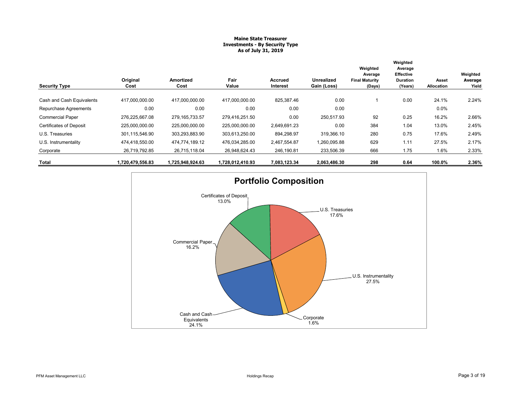#### **Maine State Treasurer Investments - By Security Type As of July 31, 2019**

| <b>Security Type</b>           | Original<br>Cost | Amortized<br>Cost | Fair<br>Value    | Accrued<br>Interest | Unrealized<br>Gain (Loss) | Weighted<br>Average<br><b>Final Maturity</b><br>(Days) | Weighted<br>Average<br><b>Effective</b><br><b>Duration</b><br>(Years) | Asset<br>Allocation | Weighted<br>Average<br>Yield |
|--------------------------------|------------------|-------------------|------------------|---------------------|---------------------------|--------------------------------------------------------|-----------------------------------------------------------------------|---------------------|------------------------------|
|                                |                  |                   |                  |                     |                           |                                                        |                                                                       |                     |                              |
| Cash and Cash Equivalents      | 417,000,000.00   | 417,000,000.00    | 417,000,000.00   | 825,387.46          | 0.00                      |                                                        | 0.00                                                                  | 24.1%               | 2.24%                        |
| Repurchase Agreements          | 0.00             | 0.00              | 0.00             | 0.00                | 0.00                      |                                                        |                                                                       | $0.0\%$             |                              |
| <b>Commercial Paper</b>        | 276.225.667.08   | 279, 165, 733.57  | 279.416.251.50   | 0.00                | 250.517.93                | 92                                                     | 0.25                                                                  | 16.2%               | 2.66%                        |
| <b>Certificates of Deposit</b> | 225,000,000.00   | 225.000.000.00    | 225.000.000.00   | 2,649,691.23        | 0.00                      | 384                                                    | 1.04                                                                  | 13.0%               | 2.45%                        |
| U.S. Treasuries                | 301,115,546.90   | 303,293,883.90    | 303,613,250.00   | 894,298.97          | 319,366.10                | 280                                                    | 0.75                                                                  | 17.6%               | 2.49%                        |
| U.S. Instrumentality           | 474,418,550.00   | 474.774.189.12    | 476,034,285.00   | 2,467,554.87        | 1,260,095.88              | 629                                                    | 1.11                                                                  | 27.5%               | 2.17%                        |
| Corporate                      | 26,719,792.85    | 26,715,118.04     | 26.948.624.43    | 246,190.81          | 233,506.39                | 666                                                    | 1.75                                                                  | 1.6%                | 2.33%                        |
| Total                          | 1,720,479,556.83 | 1,725,948,924.63  | 1,728,012,410.93 | 7,083,123.34        | 2,063,486.30              | 298                                                    | 0.64                                                                  | 100.0%              | 2.36%                        |

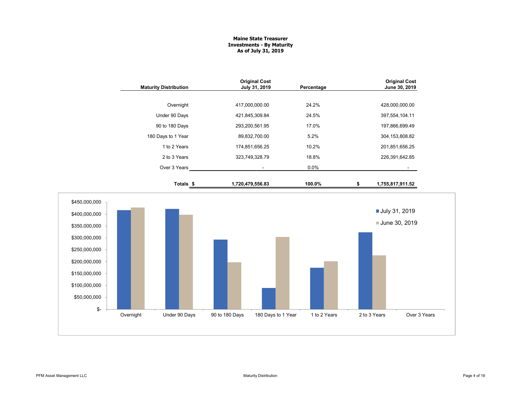### **Maine State Treasurer Investments - By Maturity As of July 31, 2019**

| <b>Maturity Distribution</b> | <b>Original Cost</b><br>July 31, 2019 | Percentage | <b>Original Cost</b><br>June 30, 2019 |
|------------------------------|---------------------------------------|------------|---------------------------------------|
|                              |                                       |            |                                       |
| Overnight                    | 417,000,000.00                        | 24.2%      | 428,000,000.00                        |
| Under 90 Days                | 421,845,309.84                        | 24.5%      | 397,554,104.11                        |
| 90 to 180 Days               | 293,200,561.95                        | 17.0%      | 197,866,699.49                        |
| 180 Days to 1 Year           | 89,832,700.00                         | 5.2%       | 304, 153, 808.82                      |
| 1 to 2 Years                 | 174,851,656.25                        | 10.2%      | 201,851,656.25                        |
| 2 to 3 Years                 | 323,749,328.79                        | 18.8%      | 226,391,642.85                        |
| Over 3 Years                 |                                       | $0.0\%$    |                                       |
| Totals \$                    | 1,720,479,556.83                      | 100.0%     | \$<br>1,755,817,911.52                |

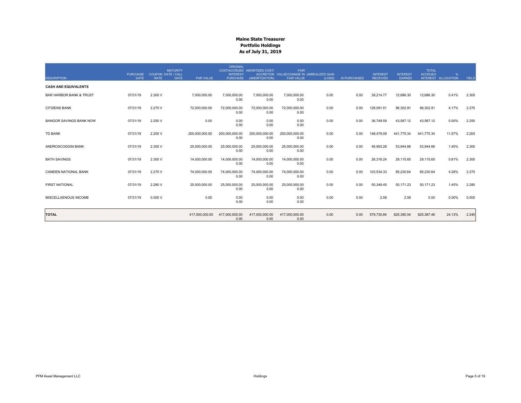| <b>DESCRIPTION</b>                 | <b>PURCHASE</b><br><b>DATE</b> | <b>COUPON DATE / CALL</b><br><b>RATE</b> | <b>MATURITY</b><br>PAR VALUE<br><b>DATE</b> | ORIGINAL<br><b>INTEREST</b><br><b>PURCHASE</b> | COST/ACCRUED AMORTIZED COST/<br>(AMORTIZATION) | <b>FAIR</b><br>ACCRETION VALUE/CHANGE IN UNREALIZED GAIN<br><b>FAIR VALUE</b> | (LOSS) | AI PURCHASED | <b>INTEREST</b><br><b>RECEIVED</b> | <b>INTEREST</b><br><b>EARNED</b> | <b>TOTAL</b><br><b>ACCRUED</b> | %<br>INTEREST ALLOCATION | YIELD |
|------------------------------------|--------------------------------|------------------------------------------|---------------------------------------------|------------------------------------------------|------------------------------------------------|-------------------------------------------------------------------------------|--------|--------------|------------------------------------|----------------------------------|--------------------------------|--------------------------|-------|
| <b>CASH AND EQUIVALENTS</b>        |                                |                                          |                                             |                                                |                                                |                                                                               |        |              |                                    |                                  |                                |                          |       |
| <b>BAR HARBOR BANK &amp; TRUST</b> | 07/31/19                       | 2.300 V                                  | 7,000,000.00                                | 7,000,000.00<br>0.00                           | 7,000,000.00<br>0.00                           | 7,000,000.00<br>0.00                                                          | 0.00   | 0.00         | 39,214.77                          | 12,686.30                        | 12,686.30                      | 0.41%                    | 2.300 |
| <b>CITIZENS BANK</b>               | 07/31/19                       | 2.270 V                                  | 72,000,000.00                               | 72,000,000.00<br>0.00                          | 72,000,000.00<br>0.00                          | 72,000,000.00<br>0.00                                                         | 0.00   | 0.00         | 128,091.51                         | 96,302.91                        | 96,302.91                      | 4.17%                    | 2.270 |
| <b>BANGOR SAVINGS BANK NOW</b>     | 07/31/19                       | 2.250 V                                  | 0.00                                        | 0.00<br>0.00                                   | 0.00<br>0.00                                   | 0.00<br>0.00                                                                  | 0.00   | 0.00         | 36,749.59                          | 43,567.12                        | 43,567.12                      | 0.00%                    | 2.250 |
| <b>TD BANK</b>                     | 07/31/19                       | 2.200 V                                  | 200,000,000.00                              | 200,000,000.00<br>0.00                         | 200.000.000.00<br>0.00                         | 200.000.000.00<br>0.00                                                        | 0.00   | 0.00         | 148,479.09                         | 441,775.34                       | 441,775.34                     | 11.57%                   | 2.200 |
| ANDROSCOGGIN BANK                  | 07/31/19                       | 2.300 V                                  | 25,000,000.00                               | 25,000,000.00<br>0.00                          | 25.000.000.00<br>0.00                          | 25.000.000.00<br>0.00                                                         | 0.00   | 0.00         | 46.993.28                          | 53.944.66                        | 53,944.66                      | 1.45%                    | 2.300 |
| <b>BATH SAVINGS</b>                | 07/31/19                       | 2.300 V                                  | 14,000,000.00                               | 14,000,000.00<br>0.00                          | 14,000,000.00<br>0.00                          | 14.000.000.00<br>0.00                                                         | 0.00   | 0.00         | 26,316.24                          | 29,115.65                        | 29,115.65                      | 0.81%                    | 2.300 |
| <b>CAMDEN NATIONAL BANK</b>        | 07/31/19                       | 2.270 V                                  | 74,000,000.00                               | 74,000,000.00<br>0.00                          | 74,000,000.00<br>0.00                          | 74.000.000.00<br>0.00                                                         | 0.00   | 0.00         | 103,534.33                         | 85,230.64                        | 85,230.64                      | 4.28%                    | 2.270 |
| <b>FIRST NATIONAL</b>              | 07/31/19                       | 2.280 V                                  | 25,000,000.00                               | 25,000,000.00<br>0.00                          | 25,000,000.00<br>0.00                          | 25,000,000.00<br>0.00                                                         | 0.00   | 0.00         | 50,349.45                          | 50,171.23                        | 50,171.23                      | 1.45%                    | 2.280 |
| MISCELLAENOUS INCOME               | 07/31/19                       | 0.000V                                   | 0.00                                        | 0.00<br>0.00                                   | 0.00<br>0.00                                   | 0.00<br>0.00                                                                  | 0.00   | 0.00         | 2.58                               | 2.58                             | 0.00                           | 0.00%                    | 0.000 |
| <b>TOTAL</b>                       |                                |                                          | 417.000.000.00                              | 417.000.000.00<br>0.00                         | 417,000,000.00<br>0.00                         | 417.000.000.00<br>0.00                                                        | 0.00   | 0.00         | 579,730.84                         | 825,390.04                       | 825,387.46                     | 24.13%                   | 2.240 |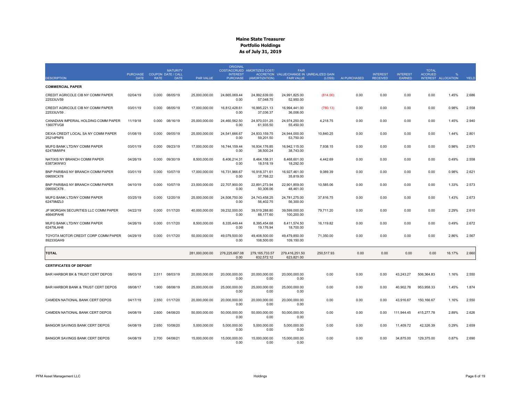|                                                   |                                            |             | <b>MATURITY</b> |                | <b>ORIGINAL</b>                    | COST/ACCRUED AMORTIZED COST/    | <b>FAIR</b>                                                    |            |              |                                    |                                  | <b>TOTAL</b>   |                     |       |
|---------------------------------------------------|--------------------------------------------|-------------|-----------------|----------------|------------------------------------|---------------------------------|----------------------------------------------------------------|------------|--------------|------------------------------------|----------------------------------|----------------|---------------------|-------|
| <b>DESCRIPTION</b>                                | PURCHASE COUPON DATE / CALL<br><b>DATE</b> | <b>RATE</b> | <b>DATE</b>     | PAR VALUE      | <b>INTEREST</b><br><b>PURCHASE</b> | (AMORTIZATION)                  | ACCRETION VALUE/CHANGE IN UNREALIZED GAIN<br><b>FAIR VALUE</b> | (LOSS)     | AI PURCHASED | <b>INTEREST</b><br><b>RECEIVED</b> | <b>INTEREST</b><br><b>EARNED</b> | <b>ACCRUED</b> | INTEREST ALLOCATION | YIELD |
|                                                   |                                            |             |                 |                |                                    |                                 |                                                                |            |              |                                    |                                  |                |                     |       |
| <b>COMMERCIAL PAPER</b>                           |                                            |             |                 |                |                                    |                                 |                                                                |            |              |                                    |                                  |                |                     |       |
| CREDIT AGRICOLE CIB NY COMM PAPER<br>22533UV59    | 02/04/19                                   | 0.000       | 08/05/19        | 25,000,000.00  | 24.665.069.44<br>0.00              | 24.992.639.00<br>57,048.75      | 24,991,825.00<br>52,950.00                                     | (814.00)   | 0.00         | 0.00                               | 0.00                             | 0.00           | 1.45%               | 2.686 |
| CREDIT AGRICOLE CIB NY COMM PAPER<br>22533UV59    | 03/01/19                                   | 0.000       | 08/05/19        | 17,000,000.00  | 16,812,428.61<br>0.00              | 16,995,221.13<br>37,036.37      | 16,994,441.00<br>36,006.00                                     | (780.13)   | 0.00         | 0.00                               | 0.00                             | 0.00           | 0.98%               | 2.558 |
| CANADIAN IMPERIAL HOLDING COMM PAPER<br>13607FVG8 | 11/19/18                                   | 0.000       | 08/16/19        | 25,000,000.00  | 24,460,562.50<br>0.00              | 24,970,031.25<br>61,935.50      | 24,974,250.00<br>55,450.00                                     | 4,218.75   | 0.00         | 0.00                               | 0.00                             | 0.00           | 1.45%               | 2.940 |
| DEXIA CREDIT LOCAL SA NY COMM PAPER<br>25214PNF6  | 01/08/19                                   | 0.000       | 09/05/19        | 25,000,000.00  | 24,541,666.67<br>0.00              | 24,933,159.75<br>59,201.50      | 24,944,000.00<br>53,750.00                                     | 10,840.25  | 0.00         | 0.00                               | 0.00                             | 0.00           | 1.44%               | 2.801 |
| MUFG BANK LTD/NY COMM PAPER<br>62479MWP4          | 03/01/19                                   | 0.000       | 09/23/19        | 17,000,000.00  | 16.744.159.44<br>0.00              | 16,934,176.85<br>38,500.24      | 16.942.115.00<br>38,743.00                                     | 7.938.15   | 0.00         | 0.00                               | 0.00                             | 0.00           | 0.98%               | 2.670 |
| NATIXIS NY BRANCH COMM PAPER<br>63873KWW3         | 04/26/19                                   | 0.000       | 09/30/19        | 8,500,000.00   | 8,406,214.31<br>0.00               | 8,464,158.31<br>18,518.19       | 8,468,601.00<br>18,292.00                                      | 4,442.69   | 0.00         | 0.00                               | 0.00                             | 0.00           | 0.49%               | 2.558 |
| BNP PARIBAS NY BRANCH COMM PAPER<br>09659CX78     | 03/01/19                                   | 0.000       | 10/07/19        | 17,000,000.00  | 16,731,966.67<br>0.00              | 16,918,371.61<br>37,768.22      | 16,927,461.00<br>35,819.00                                     | 9,089.39   | 0.00         | 0.00                               | 0.00                             | 0.00           | 0.98%               | 2.621 |
| BNP PARIBAS NY BRANCH COMM PAPER<br>09659CX78     | 04/10/19                                   | 0.000       | 10/07/19        | 23,000,000.00  | 22.707.900.00<br>0.00              | 22.891.273.94<br>50,306.06      | 22.901.859.00<br>48,461.00                                     | 10,585.06  | 0.00         | 0.00                               | 0.00                             | 0.00           | 1.33%               | 2.573 |
| MUFG BANK LTD/NY COMM PAPER<br>62479MZL0          | 03/25/19                                   | 0.000       | 12/20/19        | 25,000,000.00  | 24,508,750.00<br>0.00              | 24,743,458.25<br>56,402.75      | 24,781,275.00<br>56,300.00                                     | 37,816.75  | 0.00         | 0.00                               | 0.00                             | 0.00           | 1.43%               | 2.673 |
| JP MORGAN SECURITIES LLC COMM PAPER<br>46640PAH6  | 04/22/19                                   | 0.000       | 01/17/20        | 40,000,000.00  | 39,232,000.00<br>0.00              | 39,519,288.80<br>88.177.60      | 39,599,000.00<br>100,200.00                                    | 79,711.20  | 0.00         | 0.00                               | 0.00                             | 0.00           | 2.29%               | 2.610 |
| MUFG BANK LTD/NY COMM PAPER<br>62479LAH8          | 04/26/19                                   | 0.000       | 01/17/20        | 8,500,000.00   | 8,335,449.44<br>0.00               | 8,395,454.68<br>19,176.94       | 8,411,574.50<br>18,700.00                                      | 16,119.82  | 0.00         | 0.00                               | 0.00                             | 0.00           | 0.49%               | 2.672 |
| TOYOTA MOTOR CREDIT CORP COMM PAPER<br>89233GAH9  | 04/29/19                                   | 0.000       | 01/17/20        | 50,000,000.00  | 49.079.500.00<br>0.00              | 49.408.500.00<br>108,500.00     | 49,479,850.00<br>109,150.00                                    | 71,350.00  | 0.00         | 0.00                               | 0.00                             | 0.00           | 2.86%               | 2.567 |
| <b>TOTAL</b>                                      |                                            |             |                 | 281.000.000.00 | 276.225.667.08<br>0.00             | 279, 165, 733. 57<br>632,572.12 | 279.416.251.50<br>623.821.00                                   | 250,517.93 | 0.00         | 0.00                               | 0.00                             | 0.00           | 16.17%              | 2.660 |
| <b>CERTIFICATES OF DEPOSIT</b>                    |                                            |             |                 |                |                                    |                                 |                                                                |            |              |                                    |                                  |                |                     |       |
| BAR HARBOR BK & TRUST CERT DEPOS                  | 08/03/18                                   | 2.511       | 08/03/19        | 20.000.000.00  | 20.000.000.00<br>0.00              | 20.000.000.00<br>0.00           | 20.000.000.00<br>0.00                                          | 0.00       | 0.00         | 0.00                               | 43.243.27                        | 506.364.83     | 1.16%               | 2.550 |
| BAR HARBOR BANK & TRUST CERT DEPOS                | 08/08/17                                   | 1.900       | 08/08/19        | 25,000,000.00  | 25,000,000,00<br>0.00              | 25,000,000.00<br>0.00           | 25.000.000.00<br>0.00                                          | 0.00       | 0.00         | 0.00                               | 40,902.78                        | 953.958.33     | 1.45%               | 1.874 |
| CAMDEN NATIONAL BANK CERT DEPOS                   | 04/17/19                                   | 2.550       | 01/17/20        | 20,000,000.00  | 20,000,000.00<br>0.00              | 20,000,000.00<br>0.00           | 20,000,000.00<br>0.00                                          | 0.00       | 0.00         | 0.00                               | 43,916.67                        | 150,166.67     | 1.16%               | 2.550 |
| CAMDEN NATIONAL BANK CERT DEPOS                   | 04/08/19                                   | 2.600       | 04/08/20        | 50,000,000.00  | 50.000.000.00<br>0.00              | 50,000,000.00<br>0.00           | 50.000.000.00<br>0.00                                          | 0.00       | 0.00         | 0.00                               | 111.944.45                       | 415,277.78     | 2.89%               | 2.626 |
| BANGOR SAVINGS BANK CERT DEPOS                    | 04/08/19                                   | 2.650       | 10/08/20        | 5,000,000.00   | 5,000,000.00<br>0.00               | 5,000,000.00<br>0.00            | 5,000,000.00<br>0.00                                           | 0.00       | 0.00         | 0.00                               | 11,409.72                        | 42,326.39      | 0.29%               | 2.659 |
| BANGOR SAVINGS BANK CERT DEPOS                    | 04/08/19                                   | 2.700       | 04/08/21        | 15,000,000.00  | 15,000,000.00<br>0.00              | 15,000,000.00<br>0.00           | 15,000,000.00<br>0.00                                          | 0.00       | 0.00         | 0.00                               | 34,875.00                        | 129,375.00     | 0.87%               | 2.690 |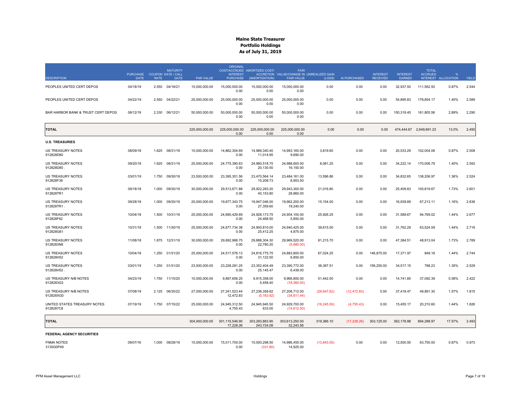|                                           |                                            |             | <b>MATURITY</b> |                | <b>ORIGINAL</b>                    | COST/ACCRUED AMORTIZED COST/ | <b>FAIR</b>                                                    |              |              |                                    |                           | <b>TOTAL</b>            |                            |       |
|-------------------------------------------|--------------------------------------------|-------------|-----------------|----------------|------------------------------------|------------------------------|----------------------------------------------------------------|--------------|--------------|------------------------------------|---------------------------|-------------------------|----------------------------|-------|
| <b>DESCRIPTION</b>                        | PURCHASE COUPON DATE / CALL<br><b>DATE</b> | <b>RATE</b> | <b>DATE</b>     | PAR VALUE      | <b>INTEREST</b><br><b>PURCHASE</b> | (AMORTIZATION)               | ACCRETION VALUE/CHANGE IN UNREALIZED GAIN<br><b>FAIR VALUE</b> | (LOSS)       | AI PURCHASED | <b>INTEREST</b><br><b>RECEIVED</b> | <b>INTEREST</b><br>EARNED | <b>ACCRUED</b>          | O/2<br>INTEREST ALLOCATION | YIELD |
| PEOPLES UNITED CERT DEPOS                 | 04/18/19                                   | 2.550       | 04/18/21        | 15,000,000.00  | 15,000,000.00<br>0.00              | 15,000,000.00<br>0.00        | 15,000,000.00<br>0.00                                          | 0.00         | 0.00         | 0.00                               | 32,937.50                 | 111,562.50              | 0.87%                      | 2.544 |
| PEOPLES UNITED CERT DEPOS                 | 04/22/19                                   |             | 2.550 04/22/21  | 25.000.000.00  | 25.000.000.00<br>0.00              | 25.000.000.00<br>0.00        | 25.000.000.00<br>0.00                                          | 0.00         | 0.00         | 0.00                               | 54.895.83                 | 178.854.17              | 1.45%                      | 2.589 |
| BAR HARBOR BANK & TRUST CERT DEPOS        | 06/12/19                                   | 2.330       | 06/12/21        | 50,000,000.00  | 50,000,000.00<br>0.00              | 50,000,000.00<br>0.00        | 50,000,000.00<br>0.00                                          | 0.00         | 0.00         | 0.00                               | 100,319.45                | 161,805.56              | 2.89%                      | 2.290 |
| <b>TOTAL</b>                              |                                            |             |                 | 225,000,000.00 | 225.000.000.00<br>0.00             | 225,000,000.00<br>0.00       | 225,000,000,00<br>0.00                                         | 0.00         | 0.00         | 0.00                               |                           | 474,444.67 2,649,691.23 | 13.0%                      | 2.450 |
| <b>U.S. TREASURIES</b>                    |                                            |             |                 |                |                                    |                              |                                                                |              |              |                                    |                           |                         |                            |       |
| US TREASURY NOTES<br>912828D80            | 08/09/18                                   | 1.625       | 08/31/19        | 15,000,000.00  | 14,862,304.69<br>0.00              | 14,989,340.40<br>11,014.95   | 14,993,160.00<br>9,690.00                                      | 3,819.60     | 0.00         | 0.00                               | 20,533.29                 | 102,004.08              | 0.87%                      | 2.508 |
| <b>US TREASURY NOTES</b><br>912828D80     | 09/20/18                                   | 1.625       | 08/31/19        | 25,000,000.00  | 24,775,390.63<br>0.00              | 24,980,518.75<br>20,130.50   | 24,988,600.00<br>16,150.00                                     | 8,081.25     | 0.00         | 0.00                               | 34,222.14                 | 170,006.79              | 1.45%                      | 2.593 |
| US TREASURY NOTES<br>912828F39            | 03/01/19                                   | 1.750       | 09/30/19        | 23,500,000.00  | 23,395,351.56<br>0.00              | 23,470,564.14<br>15,208.73   | 23,484,161.00<br>8,953.50                                      | 13,596.86    | 0.00         | 0.00                               | 34,832.65                 | 138,206.97              | 1.36%                      | 2.524 |
| US TREASURY NOTES<br>912828TR1            | 09/18/18                                   | 1.000       | 09/30/19        | 30,000,000.00  | 29,513,671.88<br>0.00              | 29,922,283.20<br>40,153.80   | 29,943,300.00<br>28,860.00                                     | 21,016.80    | 0.00         | 0.00                               | 25,409.83                 | 100,819.67              | 1.73%                      | 2.601 |
| <b>US TREASURY NOTES</b><br>912828TR1.    | 09/28/18                                   | 1.000       | 09/30/19        | 20.000.000.00  | 19.677.343.75<br>0.00              | 19.947.046.00<br>27,359.60   | 19.962.200.00<br>19,240.00                                     | 15.154.00    | 0.00         | 0.00                               | 16.939.89                 | 67.213.11               | 1.16%                      | 2.636 |
| US TREASURY NOTES<br>912828F62            | 10/04/18                                   | 1.500       | 10/31/19        | 25,000,000.00  | 24,690,429.69<br>0.00              | 24,928,173.75<br>24,468.50   | 24,954,100.00<br>5,850.00                                      | 25,926.25    | 0.00         | 0.00                               | 31,589.67                 | 94,769.02               | 1.44%                      | 2.677 |
| <b>US TREASURY NOTES</b><br>912828G61     | 10/31/18                                   | 1.500       | 11/30/19        | 25,000,000.00  | 24,677,734.38<br>0.00              | 24,900,810.00<br>25,412.25   | 24,940,425.00<br>4,875.00                                      | 39,615.00    | 0.00         | 0.00                               | 31,762.29                 | 63,524.59               | 1.44%                      | 2.716 |
| US TREASURY NOTES<br>9128283N8            | 11/08/18                                   | 1.875       | 12/31/19        | 30,000,000.00  | 29,692,968.75<br>0.00              | 29.888.304.30<br>22,780.20   | 29,969,520.00<br>(5,880.00)                                    | 81,215.70    | 0.00         | 0.00                               | 47,384.51                 | 48,913.04               | 1.73%                      | 2.789 |
| US TREASURY NOTES<br>912828H52            | 10/04/18                                   | 1.250       | 01/31/20        | 25,000,000.00  | 24,517,578.13<br>0.00              | 24,816,775.75<br>31,122.50   | 24,883,800.00<br>6,850.00                                      | 67,024.25    | 0.00         | 146,875.00                         | 17,371.97                 | 849.18                  | 1.44%                      | 2.744 |
| US TREASURY NOTES<br>912828H52            | 03/01/19                                   | 1.250       | 01/31/20        | 23,500,000.00  | 23,228,281.25<br>0.00              | 23,352,404.49<br>25,145.47   | 23,390,772.00<br>6,439.00                                      | 38,367.51    | 0.00         | 156,250.00                         | 34,517.15                 | 798.23                  | 1.35%                      | 2.529 |
| US TREASURY N/B NOTES<br>9128283G3        | 04/23/19                                   | 1.750       | 11/15/20        | 10,000,000.00  | 9,897,656.25<br>0.00               | 9,915,358.00<br>5,458.40     | 9,966,800.00<br>(18,360.00)                                    | 51,442.00    | 0.00         | 0.00                               | 14,741.85                 | 37,092.39               | 0.58%                      | 2.422 |
| US TREASURY N/B NOTES<br>912828XG0        | 07/08/19                                   | 2.125       | 06/30/22        | 27,000,000.00  | 27,241,523.44<br>12,472.83         | 27,236,359.62<br>(5, 163.82) | 27,206,712.00<br>(34, 811.44)                                  | (29,647.62)  | (12, 472.83) | 0.00                               | 37,418.47                 | 49,891.30               | 1.57%                      | 1.815 |
| UNITED STATES TREASURY NOTES<br>9128287C8 | 07/19/19                                   |             | 1.750 07/15/22  | 25,000,000.00  | 24,945,312.50<br>4,755.43          | 24,945,945.50<br>633.00      | 24,929,700.00<br>(15,612.50)                                   | (16, 245.50) | (4,755.43)   | 0.00                               | 15,455.17                 | 20,210.60               | 1.44%                      | 1.826 |
| <b>TOTAL</b>                              |                                            |             |                 | 304.000.000.00 | 301.115.546.90<br>17,228.26        | 303.293.883.90<br>243,724.08 | 303.613.250.00<br>32,243.56                                    | 319,366.10   | (17, 228.26) | 303,125.00                         | 362,178.88                | 894,298.97              | 17.57%                     | 2.493 |
| <b>FEDERAL AGENCY SECURITIES</b>          |                                            |             |                 |                |                                    |                              |                                                                |              |              |                                    |                           |                         |                            |       |
| <b>FNMA NOTES</b><br>3135G0P49            | 09/07/16                                   |             | 1.000 08/28/19  | 15,000,000.00  | 15,011,700.00<br>0.00              | 15,000,298.50<br>(331.80)    | 14,986,455.00<br>14,925.00                                     | (13,843.50)  | 0.00         | 0.00                               | 12,500.00                 | 63,750.00               | 0.87%                      | 0.973 |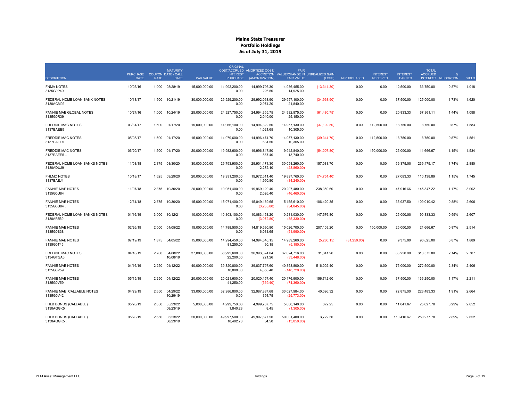|                                            | PURCHASE COUPON DATE / CALL |             | <b>MATURITY</b>      |               | <b>ORIGINAL</b><br><b>INTEREST</b> | COST/ACCRUED AMORTIZED COST/ | <b>FAIR</b><br>ACCRETION VALUE/CHANGE IN UNREALIZED GAIN |              |              | <b>INTEREST</b> | <b>INTEREST</b> | <b>TOTAL</b><br><b>ACCRUED</b> | $Q_{c}$             |       |
|--------------------------------------------|-----------------------------|-------------|----------------------|---------------|------------------------------------|------------------------------|----------------------------------------------------------|--------------|--------------|-----------------|-----------------|--------------------------------|---------------------|-------|
| <b>DESCRIPTION</b>                         | <b>DATE</b>                 | <b>RATE</b> | <b>DATE</b>          | PAR VALUE     | <b>PURCHASE</b>                    | (AMORTIZATION)               | <b>FAIR VALUE</b>                                        | (LOSS)       | AI PURCHASED | <b>RECEIVED</b> | <b>EARNED</b>   |                                | INTEREST ALLOCATION | YIELD |
| <b>FNMA NOTES</b><br>3135G0P49             | 10/05/16                    | 1.000       | 08/28/19             | 15,000,000.00 | 14,992,200.00<br>0.00              | 14,999,796.30<br>226.50      | 14,986,455.00<br>14.925.00                               | (13, 341.30) | 0.00         | 0.00            | 12,500.00       | 63,750.00                      | 0.87%               | 1.018 |
| FEDERAL HOME LOAN BANK NOTES<br>3130ACM92  | 10/18/17                    | 1.500       | 10/21/19             | 30,000,000.00 | 29.929.200.00<br>0.00              | 29.992.068.90<br>2,974.20    | 29.957.100.00<br>21,840.00                               | (34,968.90)  | 0.00         | 0.00            | 37,500.00       | 125,000.00                     | 1.73%               | 1.620 |
| FANNIE MAE GLOBAL NOTES<br>3135G0R39       | 10/27/16                    | 1.000       | 10/24/19             | 25,000,000.00 | 24,927,750.00<br>0.00              | 24,994,355.75<br>2,040.00    | 24,932,875.00<br>25,150.00                               | (61, 480.75) | 0.00         | 0.00            | 20,833.33       | 67,361.11                      | 1.44%               | 1.098 |
| <b>FREDDIE MAC NOTES</b><br>3137EAEE5      | 03/31/17                    |             | 1.500 01/17/20       | 15,000,000.00 | 14,966,100.00<br>0.00              | 14,994,322.50<br>1,021.65    | 14,957,130.00<br>10,305.00                               | (37, 192.50) | 0.00         | 112,500.00      | 18,750.00       | 8,750.00                       | 0.87%               | 1.583 |
| <b>FREDDIE MAC NOTES</b><br>3137EAEE5.     | 05/05/17                    |             | 1.500 01/17/20       | 15,000,000.00 | 14,979,600.00<br>0.00              | 14,996,474.70<br>634.50      | 14,957,130.00<br>10,305.00                               | (39, 344.70) | 0.00         | 112,500.00      | 18,750.00       | 8,750.00                       | 0.87%               | 1.551 |
| <b>FREDDIE MAC NOTES</b><br>3137EAEE5      | 06/20/17                    | 1.500       | 01/17/20             | 20.000.000.00 | 19.982.600.00<br>0.00              | 19.996.847.80<br>567.40      | 19.942.840.00<br>13,740.00                               | (54,007.80)  | 0.00         | 150,000.00      | 25.000.00       | 11.666.67                      | 1.15%               | 1.534 |
| FEDERAL HOME LOAN BANKS NOTES<br>3130ADUJ9 | 11/08/18                    | 2.375       | 03/30/20             | 30,000,000.00 | 29.793.900.00<br>0.00              | 29,901,171.30<br>12,272.10   | 30,058,260.00<br>(28,860.00)                             | 157,088.70   | 0.00         | 0.00            | 59,375.00       | 239.479.17                     | 1.74%               | 2.880 |
| <b>FHLMC NOTES</b><br>3137EAEJ4            | 10/18/17                    | 1.625       | 09/29/20             | 20.000.000.00 | 19.931.200.00<br>0.00              | 19.972.511.40<br>1,950.80    | 19.897.760.00<br>(34, 240.00)                            | (74, 751.40) | 0.00         | 0.00            | 27.083.33       | 110.138.89                     | 1.15%               | 1.745 |
| <b>FANNIE MAE NOTES</b><br>3135G0U84       | 11/07/18                    | 2.875       | 10/30/20             | 20,000,000.00 | 19,951,400.00<br>0.00              | 19,969,120.40<br>2,026.40    | 20,207,480.00<br>(46, 460.00)                            | 238,359.60   | 0.00         | 0.00            | 47,916.66       | 145,347.22                     | 1.17%               | 3.002 |
| <b>FANNIE MAE NOTES</b><br>3135G0U84       | 12/31/18                    | 2.875       | 10/30/20             | 15,000,000.00 | 15.071.400.00<br>0.00              | 15,049,189.65<br>(3,235.80)  | 15,155,610.00<br>(34, 845.00)                            | 106,420.35   | 0.00         | 0.00            | 35,937.50       | 109,010.42                     | 0.88%               | 2.606 |
| FEDERAL HOME LOAN BANKS NOTES<br>3130AF5B9 | 01/16/19                    | 3.000       | 10/12/21             | 10,000,000.00 | 10,103,100.00<br>0.00              | 10,083,453.20<br>(3,072.80)  | 10,231,030.00<br>(35, 330.00)                            | 147,576.80   | 0.00         | 0.00            | 25,000.00       | 90,833.33                      | 0.59%               | 2.607 |
| <b>FANNIE MAE NOTES</b><br>3135G0S38       | 02/26/19                    | 2.000       | 01/05/22             | 15,000,000,00 | 14.788.500.00<br>0.00              | 14.819.590.80<br>6,031.65    | 15,026,700.00<br>(51,990.00)                             | 207.109.20   | 0.00         | 150,000,00      | 25.000.00       | 21.666.67                      | 0.87%               | 2.514 |
| <b>FANNIE MAE NOTES</b><br>3135G0T45       | 07/19/19                    | 1.875       | 04/05/22             | 15.000.000.00 | 14.994.450.00<br>81,250.00         | 14.994.540.15<br>90.15       | 14,989,260.00<br>(5, 190.00)                             | (5,280.15)   | (81, 250.00) | 0.00            | 9.375.00        | 90.625.00                      | 0.87%               | 1.889 |
| <b>FREDDIE MAC NOTES</b><br>3134GTGA5      | 04/16/19                    | 2.700       | 04/08/22<br>10/08/19 | 37,000,000.00 | 36,992,600.00<br>22,200.00         | 36,993,374.04<br>221.26      | 37,024,716.00<br>(33, 448.00)                            | 31,341.96    | 0.00         | 0.00            | 83,250.00       | 313,575.00                     | 2.14%               | 2.707 |
| <b>FANNIE MAE NOTES</b><br>3135G0V59       | 04/16/19                    | 2.250       | 04/12/22             | 40,000,000.00 | 39,820,800.00<br>10,000.00         | 39,837,797.60<br>4,856.40    | 40,353,800.00<br>(148, 720.00)                           | 516,002.40   | 0.00         | 0.00            | 75,000.00       | 272,500.00                     | 2.34%               | 2.406 |
| <b>FANNIE MAE NOTES</b><br>3135G0V59       | 05/15/19                    | 2.250       | 04/12/22             | 20,000,000.00 | 20,021,600.00<br>41,250.00         | 20,020,157.40<br>(569.40)    | 20,176,900.00<br>(74,360.00)                             | 156,742.60   | 0.00         | 0.00            | 37,500.00       | 136,250.00                     | 1.17%               | 2.211 |
| FANNIE MAE CALLABLE NOTES<br>3135G0V42     | 04/29/19                    | 2.650       | 04/29/22<br>10/29/19 | 33,000,000.00 | 32.986.800.00<br>0.00              | 32.987.887.68<br>354.75      | 33,027,984.00<br>(25, 773.00)                            | 40,096.32    | 0.00         | 0.00            | 72,875.00       | 223,483.33                     | 1.91%               | 2.664 |
| FHLB BONDS (CALLABLE)<br>3130AGGK5         | 05/28/19                    | 2.650       | 05/23/22<br>08/23/19 | 5,000,000.00  | 4,999,750.00<br>1.840.28           | 4,999,767.75<br>8.45         | 5,000,140.00<br>(1,305.00)                               | 372.25       | 0.00         | 0.00            | 11,041.67       | 25,027.78                      | 0.29%               | 2.652 |
| FHLB BONDS (CALLABLE)<br>3130AGGK5         | 05/28/19                    | 2.650       | 05/23/22<br>08/23/19 | 50.000.000.00 | 49.997.500.00<br>18,402.78         | 49.997.677.50<br>84.50       | 50.001.400.00<br>(13,050.00)                             | 3.722.50     | 0.00         | 0.00            | 110.416.67      | 250.277.78                     | 2.89%               | 2.652 |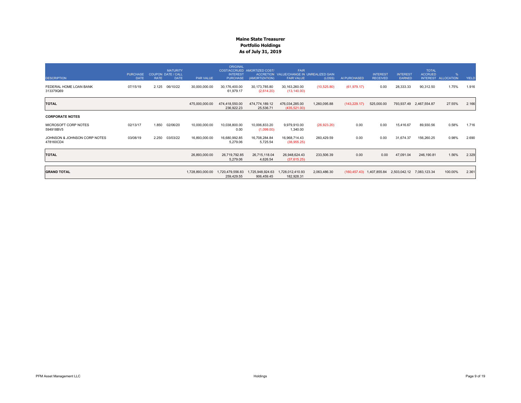| <b>DESCRIPTION</b>                        | <b>PURCHASE</b><br><b>DATE</b> | <b>RATE</b> | <b>MATURITY</b><br><b>COUPON DATE / CALL</b><br><b>DATE</b> | <b>PAR VALUE</b> | ORIGINAL<br><b>INTEREST</b><br><b>PURCHASE</b> | COST/ACCRUED AMORTIZED COST/<br>(AMORTIZATION) | <b>FAIR</b><br>ACCRETION VALUE/CHANGE IN UNREALIZED GAIN<br><b>FAIR VALUE</b> | (LOSS)       | AI PURCHASED  | <b>INTEREST</b><br><b>RECEIVED</b> | <b>INTEREST</b><br><b>EARNED</b> | <b>TOTAL</b><br><b>ACCRUED</b> | %<br>INTEREST ALLOCATION | YIELD |
|-------------------------------------------|--------------------------------|-------------|-------------------------------------------------------------|------------------|------------------------------------------------|------------------------------------------------|-------------------------------------------------------------------------------|--------------|---------------|------------------------------------|----------------------------------|--------------------------------|--------------------------|-------|
| FEDERAL HOME LOAN BANK<br>313379Q69       | 07/15/19                       | 2.125       | 06/10/22                                                    | 30,000,000.00    | 30,176,400.00<br>61,979.17                     | 30,173,785.80<br>(2,614.20)                    | 30,163,260.00<br>(13, 140.00)                                                 | (10,525.80)  | (61, 979.17)  | 0.00                               | 28,333.33                        | 90,312.50                      | 1.75%                    | 1.916 |
| <b>TOTAL</b>                              |                                |             |                                                             | 475,000,000.00   | 474,418,550.00<br>236,922.23                   | 474,774,189.12<br>25,536.71                    | 476,034,285.00<br>(435, 521.00)                                               | 1,260,095.88 | (143, 229.17) | 525,000.00                         |                                  | 793,937.49 2,467,554.87        | 27.55%                   | 2.166 |
| <b>CORPORATE NOTES</b>                    |                                |             |                                                             |                  |                                                |                                                |                                                                               |              |               |                                    |                                  |                                |                          |       |
| MICROSOFT CORP NOTES<br>594918BV5         | 02/13/17                       | 1.850       | 02/06/20                                                    | 10,000,000.00    | 10,038,800.00<br>0.00                          | 10,006,833.20<br>(1,099.00)                    | 9,979,910.00<br>1,340.00                                                      | (26,923.20)  | 0.00          | 0.00                               | 15,416.67                        | 89,930.56                      | 0.58%                    | 1.716 |
| JOHNSON & JOHNSON CORP NOTES<br>478160CD4 | 03/08/19                       | 2.250       | 03/03/22                                                    | 16,893,000.00    | 16,680,992.85<br>5,279.06                      | 16,708,284.84<br>5,725.54                      | 16,968,714.43<br>(38, 955.25)                                                 | 260,429.59   | 0.00          | 0.00                               | 31,674.37                        | 156,260.25                     | 0.98%                    | 2.690 |
| <b>TOTAL</b>                              |                                |             |                                                             | 26,893,000.00    | 26,719,792.85<br>5,279.06                      | 26,715,118.04<br>4,626.54                      | 26,948,624.43<br>(37,615.25)                                                  | 233,506.39   | 0.00          | 0.00                               | 47,091.04                        | 246,190.81                     | 1.56%                    | 2.329 |
| <b>GRAND TOTAL</b>                        |                                |             |                                                             | 1,728,893,000.00 | 1,720,479,556.83<br>259,429.55                 | 1,725,948,924.63<br>906,459.45                 | 1,728,012,410.93<br>182,928.31                                                | 2,063,486.30 |               | $(160, 457.43)$ 1,407,855.84       | 2,503,042.12 7,083,123.34        |                                | 100.00%                  | 2.361 |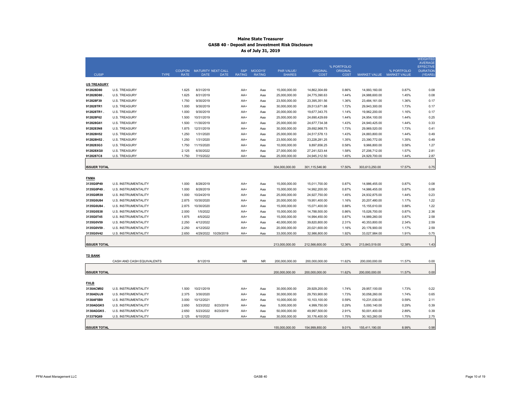|                     |                           |                                             |                                   |                      |                      |                          |                                    |                                |                                |                     |                                    | <b>WEIGHTED</b><br><b>AVERAGE</b> |
|---------------------|---------------------------|---------------------------------------------|-----------------------------------|----------------------|----------------------|--------------------------|------------------------------------|--------------------------------|--------------------------------|---------------------|------------------------------------|-----------------------------------|
|                     |                           |                                             |                                   |                      |                      |                          |                                    |                                | % PORTFOLIO                    |                     |                                    | <b>EFFECTIVE</b>                  |
| <b>CUSIP</b>        |                           | <b>COUPON</b><br><b>TYPE</b><br><b>RATE</b> | MATURITY NEXT CALL<br><b>DATE</b> | <b>DATE</b>          | S&P<br><b>RATING</b> | MOODYS'<br><b>RATING</b> | <b>PAR VALUE/</b><br><b>SHARES</b> | <b>ORIGINAL</b><br><b>COST</b> | <b>ORIGINAL</b><br><b>COST</b> | <b>MARKET VALUE</b> | % PORTFOLIO<br><b>MARKET VALUE</b> | <b>DURATION</b><br>(YEARS)        |
|                     |                           |                                             |                                   |                      |                      |                          |                                    |                                |                                |                     |                                    |                                   |
| <b>US TREASURY</b>  |                           |                                             |                                   |                      |                      |                          |                                    |                                |                                |                     |                                    |                                   |
| 912828D80           | <b>U.S. TREASURY</b>      | 1.625                                       | 8/31/2019                         |                      | AA+                  | Aaa                      | 15,000,000.00                      | 14,862,304.69                  | 0.86%                          | 14,993,160.00       | 0.87%                              | 0.08                              |
| 912828D80           | <b>U.S. TREASURY</b>      | 1.625                                       | 8/31/2019                         |                      | AA+                  | Aaa                      | 25,000,000.00                      | 24,775,390.63                  | 1.44%                          | 24,988,600.00       | 1.45%                              | 0.08                              |
| 912828F39           | <b>U.S. TREASURY</b>      | 1.750                                       | 9/30/2019                         |                      | AA+                  | Aaa                      | 23,500,000.00                      | 23,395,351.56                  | 1.36%                          | 23,484,161.00       | 1.36%                              | 0.17                              |
| 912828TR1           | <b>U.S. TREASURY</b>      | 1.000                                       | 9/30/2019                         |                      | AA+                  | Aaa                      | 30,000,000.00                      | 29,513,671.88                  | 1.72%                          | 29,943,300.00       | 1.73%                              | 0.17                              |
| 912828TR1.          | <b>U.S. TREASURY</b>      | 1.000                                       | 9/30/2019                         |                      | AA+                  | Aaa                      | 20,000,000.00                      | 19,677,343.75                  | 1.14%                          | 19.962.200.00       | 1.16%                              | 0.17                              |
| 912828F62           | <b>U.S. TREASURY</b>      | 1.500                                       | 10/31/2019                        |                      | $AA+$                | Aaa                      | 25.000.000.00                      | 24,690,429.69                  | 1.44%                          | 24.954.100.00       | 1.44%                              | 0.25                              |
| 912828G61           | <b>U.S. TREASURY</b>      | 1.500                                       | 11/30/2019                        |                      | AA+                  | Aaa                      | 25,000,000.00                      | 24,677,734.38                  | 1.43%                          | 24,940,425.00       | 1.44%                              | 0.33                              |
| 9128283N8           | <b>U.S. TREASURY</b>      | 1.875                                       | 12/31/2019                        |                      | AA+                  | Aaa                      | 30,000,000.00                      | 29,692,968.75                  | 1.73%                          | 29,969,520.00       | 1.73%                              | 0.41                              |
| 912828H52           | <b>U.S. TREASURY</b>      | 1.250                                       | 1/31/2020                         |                      | AA+                  | Aaa                      | 25,000,000.00                      | 24,517,578.13                  | 1.43%                          | 24,883,800.00       | 1.44%                              | 0.49                              |
| 912828H52           | <b>U.S. TREASURY</b>      | 1.250                                       | 1/31/2020                         |                      | AA+                  | Aaa                      | 23,500,000.00                      | 23,228,281.25                  | 1.35%                          | 23,390,772.00       | 1.35%                              | 0.49                              |
| 9128283G3           | <b>U.S. TREASURY</b>      | 1.750                                       | 11/15/2020                        |                      | AA+                  | Aaa                      | 10,000,000.00                      | 9,897,656.25                   | 0.58%                          | 9,966,800.00        | 0.58%                              | 1.27                              |
| 912828XG0           | <b>U.S. TREASURY</b>      | 2.125                                       | 6/30/2022                         |                      | $AA+$                | Aaa                      | 27,000,000.00                      | 27,241,523.44                  | 1.58%                          | 27,206,712.00       | 1.57%                              | 2.81                              |
| 9128287C8           | <b>U.S. TREASURY</b>      | 1.750                                       | 7/15/2022                         |                      | AA+                  | Aaa                      | 25,000,000.00                      | 24,945,312.50                  | 1.45%                          | 24,929,700.00       | 1.44%                              | 2.87                              |
|                     |                           |                                             |                                   |                      |                      |                          |                                    |                                |                                |                     |                                    |                                   |
| <b>ISSUER TOTAL</b> |                           |                                             |                                   |                      |                      |                          | 304,000,000.00                     | 301,115,546.90                 | 17.50%                         | 303,613,250.00      | 17.57%                             | 0.75                              |
|                     |                           |                                             |                                   |                      |                      |                          |                                    |                                |                                |                     |                                    |                                   |
| <b>FNMA</b>         |                           |                                             |                                   |                      |                      |                          |                                    |                                |                                |                     |                                    |                                   |
| 3135G0P49           | U.S. INSTRUMENTALITY      | 1.000                                       | 8/28/2019                         |                      | AA+                  | Aaa                      | 15,000,000.00                      | 15,011,700.00                  | 0.87%                          | 14,986,455.00       | 0.87%                              | 0.08                              |
| 3135G0P49           | U.S. INSTRUMENTALITY      | 1.000                                       | 8/28/2019                         |                      | AA+                  | Aaa                      | 15,000,000.00                      | 14,992,200.00                  | 0.87%                          | 14,986,455.00       | 0.87%                              | 0.08                              |
| 3135G0R39           | U.S. INSTRUMENTALITY      | 1.000                                       | 10/24/2019                        |                      | AA+                  | Aaa                      | 25.000.000.00                      | 24,927,750.00                  | 1.45%                          | 24,932,875.00       | 1.44%                              | 0.23                              |
| 3135G0U84           | U.S. INSTRUMENTALITY      | 2.875                                       | 10/30/2020                        |                      | AA+                  | Aaa                      | 20,000,000.00                      | 19,951,400.00                  | 1.16%                          | 20,207,480.00       | 1.17%                              | 1.22                              |
| 3135G0U84           | U.S. INSTRUMENTALITY      | 2.875                                       | 10/30/2020                        |                      | AA+                  | Aaa                      | 15,000,000.00                      | 15,071,400.00                  | 0.88%                          | 15,155,610.00       | 0.88%                              | 1.22                              |
| 3135G0S38           | U.S. INSTRUMENTALITY      | 2.000                                       | 1/5/2022                          |                      | AA+                  | Aaa                      | 15,000,000.00                      | 14,788,500.00                  | 0.86%                          | 15,026,700.00       | 0.87%                              | 2.36                              |
| 3135G0T45           | U.S. INSTRUMENTALITY      | 1.875                                       | 4/5/2022                          |                      | AA+                  | Aaa                      | 15,000,000.00                      | 14,994,450.00                  | 0.87%                          | 14,989,260.00       | 0.87%                              | 2.58                              |
| 3135G0V59           | U.S. INSTRUMENTALITY      | 2.250                                       | 4/12/2022                         |                      | AA+                  | Aaa                      | 40,000,000.00                      | 39,820,800.00                  | 2.31%                          | 40,353,800.00       | 2.34%                              | 2.59                              |
| 3135G0V59           | U.S. INSTRUMENTALITY      | 2.250                                       | 4/12/2022                         |                      | AA+                  | Aaa                      | 20,000,000.00                      | 20,021,600.00                  | 1.16%                          | 20,176,900.00       | 1.17%                              | 2.59                              |
| 3135G0V42           | U.S. INSTRUMENTALITY      | 2.650                                       |                                   | 4/29/2022 10/29/2019 | AA+                  | Aaa                      | 33,000,000.00                      | 32,986,800.00                  | 1.92%                          | 33,027,984.00       | 1.91%                              | 0.75                              |
|                     |                           |                                             |                                   |                      |                      |                          |                                    |                                |                                |                     |                                    |                                   |
| <b>ISSUER TOTAL</b> |                           |                                             |                                   |                      |                      |                          | 213,000,000.00                     | 212,566,600.00                 | 12.36%                         | 213,843,519.00      | 12.38%                             | 1.43                              |
|                     |                           |                                             |                                   |                      |                      |                          |                                    |                                |                                |                     |                                    |                                   |
| <b>TD BANK</b>      | CASH AND CASH EQUIVALENTS |                                             | 8/1/2019                          |                      | <b>NR</b>            | <b>NR</b>                | 200,000,000.00                     | 200,000,000.00                 | 11.62%                         | 200,000,000.00      | 11.57%                             | 0.00                              |
|                     |                           |                                             |                                   |                      |                      |                          |                                    |                                |                                |                     |                                    |                                   |
| <b>ISSUER TOTAL</b> |                           |                                             |                                   |                      |                      |                          | 200,000,000.00                     | 200,000,000.00                 | 11.62%                         | 200,000,000.00      | 11.57%                             | 0.00                              |
|                     |                           |                                             |                                   |                      |                      |                          |                                    |                                |                                |                     |                                    |                                   |
| <b>FHLB</b>         |                           |                                             |                                   |                      |                      |                          |                                    |                                |                                |                     |                                    |                                   |
| 3130ACM92           | U.S. INSTRUMENTALITY      | 1.500                                       | 10/21/2019                        |                      | AA+                  | Aaa                      | 30,000,000.00                      | 29,929,200.00                  | 1.74%                          | 29,957,100.00       | 1.73%                              | 0.22                              |
| 3130ADUJ9           | U.S. INSTRUMENTALITY      | 2.375                                       | 3/30/2020                         |                      | AA+                  | Aaa                      | 30,000,000.00                      | 29,793,900.00                  | 1.73%                          | 30,058,260.00       | 1.74%                              | 0.65                              |
| 3130AF5B9           | U.S. INSTRUMENTALITY      | 3.000                                       | 10/12/2021                        |                      | AA+                  | Aaa                      | 10,000,000.00                      | 10,103,100.00                  | 0.59%                          | 10,231,030.00       | 0.59%                              | 2.11                              |
| 3130AGGK5           | U.S. INSTRUMENTALITY      | 2.650                                       | 5/23/2022                         | 8/23/2019            | AA+                  | Aaa                      | 5,000,000.00                       | 4,999,750.00                   | 0.29%                          | 5,000,140.00        | 0.29%                              | 0.39                              |
| 3130AGGK5           | U.S. INSTRUMENTALITY      | 2.650                                       | 5/23/2022                         | 8/23/2019            | AA+                  | Aaa                      | 50,000,000.00                      | 49,997,500.00                  | 2.91%                          | 50,001,400.00       | 2.89%                              | 0.39                              |
| 313379Q69           | U.S. INSTRUMENTALITY      | 2.125                                       | 6/10/2022                         |                      | AA+                  | Aaa                      | 30,000,000.00                      | 30,176,400.00                  | 1.75%                          | 30,163,260.00       | 1.75%                              | 2.75                              |
|                     |                           |                                             |                                   |                      |                      |                          |                                    |                                |                                |                     |                                    |                                   |
| <b>ISSUER TOTAL</b> |                           |                                             |                                   |                      |                      |                          | 155,000,000.00                     | 154,999,850.00                 | 9.01%                          | 155,411,190.00      | 8.99%                              | 0.98                              |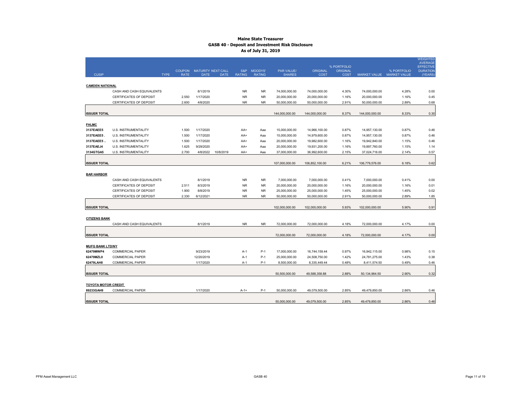|                            |                                              |                              |                                   |             |               |                |                                |                                |                                |                                |                                          | <b>WEIGHTED</b><br><b>AVERAGE</b> |
|----------------------------|----------------------------------------------|------------------------------|-----------------------------------|-------------|---------------|----------------|--------------------------------|--------------------------------|--------------------------------|--------------------------------|------------------------------------------|-----------------------------------|
|                            |                                              |                              |                                   |             | S&P           | MOODYS'        | <b>PAR VALUE/</b>              | <b>ORIGINAL</b>                | % PORTFOLIO<br><b>ORIGINAL</b> |                                |                                          | <b>EFFECTIVE</b>                  |
| <b>CUSIP</b>               | <b>TYPE</b>                                  | <b>COUPON</b><br><b>RATE</b> | MATURITY NEXT CALL<br><b>DATE</b> | <b>DATE</b> | <b>RATING</b> | <b>RATING</b>  | <b>SHARES</b>                  | <b>COST</b>                    | <b>COST</b>                    |                                | % PORTFOLIO<br>MARKET VALUE MARKET VALUE | <b>DURATION</b><br>(YEARS)        |
|                            |                                              |                              |                                   |             |               |                |                                |                                |                                |                                |                                          |                                   |
| <b>CAMDEN NATIONAL</b>     |                                              |                              |                                   |             |               |                |                                |                                |                                |                                |                                          |                                   |
|                            | CASH AND CASH EQUIVALENTS                    |                              | 8/1/2019                          |             | <b>NR</b>     | <b>NR</b>      | 74,000,000.00                  | 74,000,000.00                  | 4.30%                          | 74,000,000.00                  | 4.28%                                    | 0.00                              |
|                            | CERTIFICATES OF DEPOSIT                      | 2.550                        | 1/17/2020                         |             | <b>NR</b>     | <b>NR</b>      | 20,000,000.00                  | 20,000,000.00                  | 1.16%                          | 20,000,000.00                  | 1.16%                                    | 0.45                              |
|                            | CERTIFICATES OF DEPOSIT                      | 2.600                        | 4/8/2020                          |             | <b>NR</b>     | <b>NR</b>      | 50,000,000.00                  | 50,000,000.00                  | 2.91%                          | 50,000,000.00                  | 2.89%                                    | 0.68                              |
|                            |                                              |                              |                                   |             |               |                |                                |                                |                                |                                |                                          |                                   |
| <b>ISSUER TOTAL</b>        |                                              |                              |                                   |             |               |                | 144,000,000.00                 | 144,000,000.00                 | 8.37%                          | 144,000,000.00                 | 8.33%                                    | 0.30                              |
|                            |                                              |                              |                                   |             |               |                |                                |                                |                                |                                |                                          |                                   |
| <b>FHLMC</b>               |                                              |                              |                                   |             |               |                |                                |                                |                                |                                |                                          |                                   |
| 3137EAEE5                  | U.S. INSTRUMENTALITY                         | 1.500                        | 1/17/2020                         |             | AA+           | Aaa            | 15,000,000.00                  | 14,966,100.00                  | 0.87%                          | 14,957,130.00                  | 0.87%                                    | 0.46                              |
| 3137EAEE5                  | U.S. INSTRUMENTALITY                         | 1.500                        | 1/17/2020                         |             | AA+           | Aaa            | 15,000,000.00                  | 14,979,600.00                  | 0.87%                          | 14,957,130.00                  | 0.87%                                    | 0.46                              |
| 3137EAEE5<br>3137EAEJ4     | U.S. INSTRUMENTALITY<br>U.S. INSTRUMENTALITY | 1.500<br>1.625               | 1/17/2020<br>9/29/2020            |             | AA+           | Aaa            | 20,000,000.00<br>20,000,000.00 | 19,982,600.00<br>19,931,200.00 | 1.16%<br>1.16%                 | 19,942,840.00<br>19,897,760.00 | 1.15%<br>1.15%                           | 0.46<br>1.14                      |
| 3134GTGA5                  | U.S. INSTRUMENTALITY                         | 2.700                        | 4/8/2022                          | 10/8/2019   | AA+<br>AA+    | Aaa            | 37,000,000.00                  | 36,992,600.00                  | 2.15%                          |                                | 2.14%                                    | 0.57                              |
|                            |                                              |                              |                                   |             |               | Aaa            |                                |                                |                                | 37,024,716.00                  |                                          |                                   |
| <b>ISSUER TOTAL</b>        |                                              |                              |                                   |             |               |                | 107,000,000.00                 | 106,852,100.00                 | 6.21%                          | 106,779,576.00                 | 6.18%                                    | 0.62                              |
|                            |                                              |                              |                                   |             |               |                |                                |                                |                                |                                |                                          |                                   |
| <b>BAR HARBOR</b>          |                                              |                              |                                   |             |               |                |                                |                                |                                |                                |                                          |                                   |
|                            | CASH AND CASH EQUIVALENTS                    |                              | 8/1/2019                          |             | <b>NR</b>     | NR             | 7,000,000.00                   | 7,000,000.00                   | 0.41%                          | 7,000,000.00                   | 0.41%                                    | 0.00                              |
|                            | <b>CERTIFICATES OF DEPOSIT</b>               | 2.511                        | 8/3/2019                          |             | <b>NR</b>     | NR.            | 20,000,000.00                  | 20,000,000.00                  | 1.16%                          | 20,000,000.00                  | 1.16%                                    | 0.01                              |
|                            | CERTIFICATES OF DEPOSIT                      | 1.900                        | 8/8/2019                          |             | <b>NR</b>     | <b>NR</b>      | 25,000,000.00                  | 25,000,000.00                  | 1.45%                          | 25,000,000.00                  | 1.45%                                    | 0.02                              |
|                            | CERTIFICATES OF DEPOSIT                      | 2.330                        | 6/12/2021                         |             | <b>NR</b>     | <b>NR</b>      | 50,000,000.00                  | 50,000,000.00                  | 2.91%                          | 50,000,000.00                  | 2.89%                                    | 1.85                              |
|                            |                                              |                              |                                   |             |               |                |                                |                                |                                |                                |                                          |                                   |
| <b>ISSUER TOTAL</b>        |                                              |                              |                                   |             |               |                | 102,000,000.00                 | 102.000.000.00                 | 5.93%                          | 102,000,000.00                 | 5.90%                                    | 0.91                              |
|                            |                                              |                              |                                   |             |               |                |                                |                                |                                |                                |                                          |                                   |
| <b>CITIZENS BANK</b>       |                                              |                              |                                   |             |               |                |                                |                                |                                |                                |                                          |                                   |
|                            | CASH AND CASH EQUIVALENTS                    |                              | 8/1/2019                          |             | <b>NR</b>     | <b>NR</b>      | 72,000,000.00                  | 72,000,000.00                  | 4.18%                          | 72,000,000.00                  | 4.17%                                    | 0.00                              |
|                            |                                              |                              |                                   |             |               |                |                                |                                |                                |                                |                                          |                                   |
| <b>ISSUER TOTAL</b>        |                                              |                              |                                   |             |               |                | 72,000,000.00                  | 72,000,000.00                  | 4.18%                          | 72,000,000.00                  | 4.17%                                    | 0.00                              |
|                            |                                              |                              |                                   |             |               |                |                                |                                |                                |                                |                                          |                                   |
| <b>MUFG BANK LTD/NY</b>    |                                              |                              |                                   |             |               |                |                                |                                |                                |                                |                                          |                                   |
| 62479MWP4                  | <b>COMMERCIAL PAPER</b>                      |                              | 9/23/2019                         |             | A-1           | $P-1$          | 17,000,000.00                  | 16,744,159.44                  | 0.97%                          | 16,942,115.00                  | 0.98%                                    | 0.15                              |
| 62479MZL0                  | <b>COMMERCIAL PAPER</b>                      |                              | 12/20/2019                        |             | $A-1$         | $P-1$<br>$P-1$ | 25,000,000.00                  | 24,508,750.00                  | 1.42%                          | 24,781,275.00                  | 1.43%                                    | 0.38                              |
| 62479LAH8                  | <b>COMMERCIAL PAPER</b>                      |                              | 1/17/2020                         |             | $A-1$         |                | 8,500,000.00                   | 8,335,449.44                   | 0.48%                          | 8,411,574.50                   | 0.49%                                    | 0.46                              |
| <b>ISSUER TOTAL</b>        |                                              |                              |                                   |             |               |                | 50,500,000.00                  | 49,588,358.88                  | 2.88%                          | 50,134,964.50                  | 2.90%                                    | 0.32                              |
|                            |                                              |                              |                                   |             |               |                |                                |                                |                                |                                |                                          |                                   |
| <b>TOYOTA MOTOR CREDIT</b> |                                              |                              |                                   |             |               |                |                                |                                |                                |                                |                                          |                                   |
| 89233GAH9                  | <b>COMMERCIAL PAPER</b>                      |                              | 1/17/2020                         |             | $A - 1 +$     | $P-1$          | 50,000,000.00                  | 49,079,500.00                  | 2.85%                          | 49,479,850.00                  | 2.86%                                    | 0.46                              |
|                            |                                              |                              |                                   |             |               |                |                                |                                |                                |                                |                                          |                                   |
| <b>ISSUER TOTAL</b>        |                                              |                              |                                   |             |               |                | 50,000,000.00                  | 49,079,500.00                  | 2.85%                          | 49,479,850.00                  | 2.86%                                    | 0.46                              |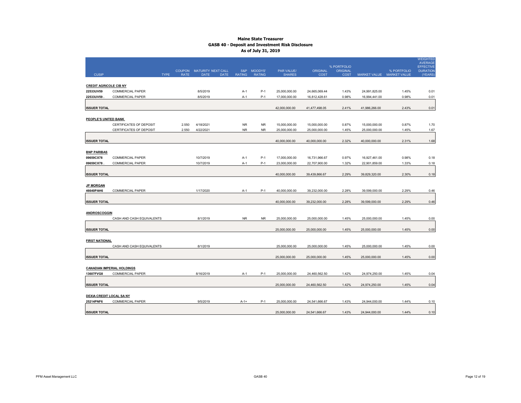|                               |                                                    |             |                |                                          |             |                  |                              |                                    |                                |                                |                                |                | <b>WEIGHTED</b><br>AVERAGE |
|-------------------------------|----------------------------------------------------|-------------|----------------|------------------------------------------|-------------|------------------|------------------------------|------------------------------------|--------------------------------|--------------------------------|--------------------------------|----------------|----------------------------|
|                               |                                                    |             |                |                                          |             |                  |                              |                                    |                                | % PORTFOLIO                    |                                |                | <b>EFFECTIVE</b>           |
| <b>CUSIP</b>                  |                                                    | <b>TYPE</b> | <b>RATE</b>    | COUPON MATURITY NEXT CALL<br><b>DATE</b> | <b>DATE</b> | <b>RATING</b>    | S&P MOODYS'<br><b>RATING</b> | <b>PAR VALUE/</b><br><b>SHARES</b> | <b>ORIGINAL</b><br>COST        | <b>ORIGINAL</b><br><b>COST</b> | MARKET VALUE MARKET VALUE      | % PORTFOLIO    | <b>DURATION</b><br>(YEARS) |
|                               |                                                    |             |                |                                          |             |                  |                              |                                    |                                |                                |                                |                |                            |
| <b>CREDIT AGRICOLE CIB NY</b> |                                                    |             |                |                                          |             |                  |                              |                                    |                                |                                |                                |                |                            |
| 22533UV59                     | <b>COMMERCIAL PAPER</b>                            |             |                | 8/5/2019                                 |             | $A-1$            | $P-1$                        | 25,000,000.00                      | 24,665,069.44                  | 1.43%                          | 24,991,825.00                  | 1.45%          | 0.01                       |
| 22533UV59                     | <b>COMMERCIAL PAPER</b>                            |             |                | 8/5/2019                                 |             | $A-1$            | $P-1$                        | 17,000,000.00                      | 16,812,428.61                  | 0.98%                          | 16,994,441.00                  | 0.98%          | 0.01                       |
|                               |                                                    |             |                |                                          |             |                  |                              |                                    |                                |                                |                                |                |                            |
| <b>ISSUER TOTAL</b>           |                                                    |             |                |                                          |             |                  |                              | 42,000,000.00                      | 41,477,498.05                  | 2.41%                          | 41,986,266.00                  | 2.43%          | 0.01                       |
|                               |                                                    |             |                |                                          |             |                  |                              |                                    |                                |                                |                                |                |                            |
| PEOPLE'S UNITED BANK          |                                                    |             |                |                                          |             |                  |                              |                                    |                                |                                |                                |                |                            |
|                               | CERTIFICATES OF DEPOSIT<br>CERTIFICATES OF DEPOSIT |             | 2.550<br>2.550 | 4/18/2021<br>4/22/2021                   |             | NR.<br><b>NR</b> | <b>NR</b><br><b>NR</b>       | 15,000,000.00<br>25,000,000.00     | 15,000,000.00<br>25,000,000.00 | 0.87%<br>1.45%                 | 15,000,000.00<br>25,000,000.00 | 0.87%<br>1.45% | 1.70<br>1.67               |
|                               |                                                    |             |                |                                          |             |                  |                              |                                    |                                |                                |                                |                |                            |
| <b>ISSUER TOTAL</b>           |                                                    |             |                |                                          |             |                  |                              | 40,000,000.00                      | 40,000,000.00                  | 2.32%                          | 40,000,000.00                  | 2.31%          | 1.68                       |
|                               |                                                    |             |                |                                          |             |                  |                              |                                    |                                |                                |                                |                |                            |
| <b>BNP PARIBAS</b>            |                                                    |             |                |                                          |             |                  |                              |                                    |                                |                                |                                |                |                            |
| 09659CX78                     | <b>COMMERCIAL PAPER</b>                            |             |                | 10/7/2019                                |             | A-1              | $P-1$                        | 17,000,000.00                      | 16,731,966.67                  | 0.97%                          | 16,927,461.00                  | 0.98%          | 0.18                       |
| 09659CX78                     | <b>COMMERCIAL PAPER</b>                            |             |                | 10/7/2019                                |             | A-1              | $P-1$                        | 23,000,000.00                      | 22,707,900.00                  | 1.32%                          | 22,901,859.00                  | 1.33%          | 0.18                       |
|                               |                                                    |             |                |                                          |             |                  |                              |                                    |                                |                                |                                |                |                            |
| <b>ISSUER TOTAL</b>           |                                                    |             |                |                                          |             |                  |                              | 40,000,000.00                      | 39,439,866.67                  | 2.29%                          | 39,829,320.00                  | 2.30%          | 0.18                       |
|                               |                                                    |             |                |                                          |             |                  |                              |                                    |                                |                                |                                |                |                            |
| <b>JP MORGAN</b>              |                                                    |             |                |                                          |             |                  |                              |                                    |                                |                                |                                |                |                            |
| 46640PAH6                     | <b>COMMERCIAL PAPER</b>                            |             |                | 1/17/2020                                |             | A-1              | $P-1$                        | 40,000,000.00                      | 39,232,000.00                  | 2.28%                          | 39,599,000.00                  | 2.29%          | 0.46                       |
| <b>ISSUER TOTAL</b>           |                                                    |             |                |                                          |             |                  |                              | 40,000,000.00                      | 39,232,000.00                  | 2.28%                          | 39,599,000.00                  | 2.29%          | 0.46                       |
|                               |                                                    |             |                |                                          |             |                  |                              |                                    |                                |                                |                                |                |                            |
| <b>ANDROSCOGGIN</b>           |                                                    |             |                |                                          |             |                  |                              |                                    |                                |                                |                                |                |                            |
|                               | CASH AND CASH EQUIVALENTS                          |             |                | 8/1/2019                                 |             | NR.              | <b>NR</b>                    | 25,000,000.00                      | 25,000,000.00                  | 1.45%                          | 25,000,000.00                  | 1.45%          | 0.00                       |
|                               |                                                    |             |                |                                          |             |                  |                              |                                    |                                |                                |                                |                |                            |
| <b>ISSUER TOTAL</b>           |                                                    |             |                |                                          |             |                  |                              | 25,000,000.00                      | 25,000,000.00                  | 1.45%                          | 25,000,000.00                  | 1.45%          | 0.00                       |
|                               |                                                    |             |                |                                          |             |                  |                              |                                    |                                |                                |                                |                |                            |
| <b>FIRST NATIONAL</b>         |                                                    |             |                |                                          |             |                  |                              |                                    |                                |                                |                                |                |                            |
|                               | CASH AND CASH EQUIVALENTS                          |             |                | 8/1/2019                                 |             |                  |                              | 25,000,000.00                      | 25,000,000.00                  | 1.45%                          | 25,000,000.00                  | 1.45%          | 0.00                       |
|                               |                                                    |             |                |                                          |             |                  |                              |                                    |                                |                                |                                |                |                            |
| <b>ISSUER TOTAL</b>           |                                                    |             |                |                                          |             |                  |                              | 25,000,000.00                      | 25,000,000.00                  | 1.45%                          | 25,000,000.00                  | 1.45%          | 0.00                       |
|                               | <b>CANADIAN IMPERIAL HOLDINGS</b>                  |             |                |                                          |             |                  |                              |                                    |                                |                                |                                |                |                            |
| 13607FVG8                     | <b>COMMERCIAL PAPER</b>                            |             |                | 8/16/2019                                |             | A-1              | $P-1$                        | 25,000,000.00                      | 24,460,562.50                  | 1.42%                          | 24,974,250.00                  | 1.45%          | 0.04                       |
|                               |                                                    |             |                |                                          |             |                  |                              |                                    |                                |                                |                                |                |                            |
| <b>ISSUER TOTAL</b>           |                                                    |             |                |                                          |             |                  |                              | 25,000,000.00                      | 24,460,562.50                  | 1.42%                          | 24,974,250.00                  | 1.45%          | 0.04                       |
|                               |                                                    |             |                |                                          |             |                  |                              |                                    |                                |                                |                                |                |                            |
| DEXIA CREDIT LOCAL SA NY      |                                                    |             |                |                                          |             |                  |                              |                                    |                                |                                |                                |                |                            |
| 25214PNF6                     | <b>COMMERCIAL PAPER</b>                            |             |                | 9/5/2019                                 |             | $A - 1 +$        | $P-1$                        | 25,000,000.00                      | 24,541,666.67                  | 1.43%                          | 24,944,000.00                  | 1.44%          | 0.10                       |
|                               |                                                    |             |                |                                          |             |                  |                              |                                    |                                |                                |                                |                |                            |
| <b>ISSUER TOTAL</b>           |                                                    |             |                |                                          |             |                  |                              | 25,000,000.00                      | 24,541,666.67                  | 1.43%                          | 24,944,000.00                  | 1.44%          | 0.10                       |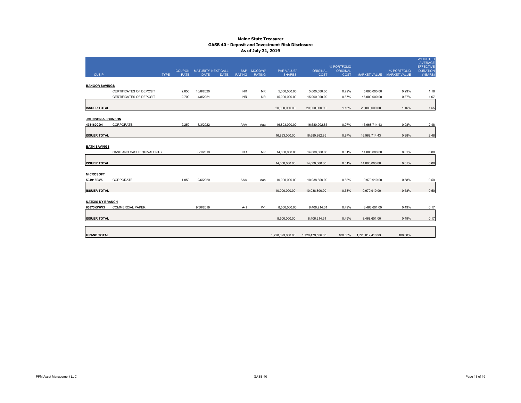|                                           |                           |             |                                                         |                      |                          |                                    |                         | % PORTFOLIO             |                  |                                          | <b>WEIGHTED</b><br>AVERAGE<br><b>EFFECTIVE</b> |
|-------------------------------------------|---------------------------|-------------|---------------------------------------------------------|----------------------|--------------------------|------------------------------------|-------------------------|-------------------------|------------------|------------------------------------------|------------------------------------------------|
| <b>CUSIP</b>                              | <b>TYPE</b>               | <b>RATE</b> | COUPON MATURITY NEXT CALL<br><b>DATE</b><br><b>DATE</b> | S&P<br><b>RATING</b> | MOODYS'<br><b>RATING</b> | <b>PAR VALUE/</b><br><b>SHARES</b> | <b>ORIGINAL</b><br>COST | <b>ORIGINAL</b><br>COST |                  | % PORTFOLIO<br>MARKET VALUE MARKET VALUE | <b>DURATION</b><br>(YEARS)                     |
| <b>BANGOR SAVINGS</b>                     |                           |             |                                                         |                      |                          |                                    |                         |                         |                  |                                          |                                                |
|                                           | CERTIFICATES OF DEPOSIT   | 2.650       | 10/8/2020                                               | <b>NR</b>            | <b>NR</b>                | 5,000,000.00                       | 5,000,000.00            | 0.29%                   | 5,000,000.00     | 0.29%                                    | 1.18                                           |
|                                           | CERTIFICATES OF DEPOSIT   | 2.700       | 4/8/2021                                                | <b>NR</b>            | <b>NR</b>                | 15,000,000.00                      | 15,000,000.00           | 0.87%                   | 15,000,000.00    | 0.87%                                    | 1.67                                           |
|                                           |                           |             |                                                         |                      |                          |                                    |                         |                         |                  |                                          |                                                |
| <b>ISSUER TOTAL</b>                       |                           |             |                                                         |                      |                          | 20,000,000.00                      | 20,000,000.00           | 1.16%                   | 20,000,000.00    | 1.16%                                    | 1.55                                           |
|                                           |                           |             |                                                         |                      |                          |                                    |                         |                         |                  |                                          |                                                |
| <b>JOHNSON &amp; JOHNSON</b><br>478160CD4 | CORPORATE                 | 2.250       | 3/3/2022                                                | AAA                  | Aaa                      | 16,893,000.00                      | 16,680,992.85           | 0.97%                   | 16,968,714.43    | 0.98%                                    | 2.48                                           |
|                                           |                           |             |                                                         |                      |                          |                                    |                         |                         |                  |                                          |                                                |
| <b>ISSUER TOTAL</b>                       |                           |             |                                                         |                      |                          | 16,893,000.00                      | 16,680,992.85           | 0.97%                   | 16,968,714.43    | 0.98%                                    | 2.48                                           |
|                                           |                           |             |                                                         |                      |                          |                                    |                         |                         |                  |                                          |                                                |
| <b>BATH SAVINGS</b>                       |                           |             |                                                         |                      |                          |                                    |                         |                         |                  |                                          |                                                |
|                                           | CASH AND CASH EQUIVALENTS |             | 8/1/2019                                                | <b>NR</b>            | <b>NR</b>                | 14,000,000.00                      | 14,000,000.00           | 0.81%                   | 14,000,000.00    | 0.81%                                    | 0.00                                           |
| <b>ISSUER TOTAL</b>                       |                           |             |                                                         |                      |                          | 14,000,000.00                      | 14,000,000.00           | 0.81%                   | 14,000,000.00    | 0.81%                                    | 0.00                                           |
|                                           |                           |             |                                                         |                      |                          |                                    |                         |                         |                  |                                          |                                                |
| <b>MICROSOFT</b>                          |                           |             |                                                         |                      |                          |                                    |                         |                         |                  |                                          |                                                |
| 594918BV5                                 | CORPORATE                 | 1.850       | 2/6/2020                                                | AAA                  | Aaa                      | 10,000,000.00                      | 10,038,800.00           | 0.58%                   | 9,979,910.00     | 0.58%                                    | 0.50                                           |
|                                           |                           |             |                                                         |                      |                          |                                    |                         |                         |                  |                                          |                                                |
| <b>ISSUER TOTAL</b>                       |                           |             |                                                         |                      |                          | 10,000,000.00                      | 10,038,800.00           | 0.58%                   | 9,979,910.00     | 0.58%                                    | 0.50                                           |
| <b>NATIXIS NY BRANCH</b>                  |                           |             |                                                         |                      |                          |                                    |                         |                         |                  |                                          |                                                |
| 63873KWW3                                 | <b>COMMERCIAL PAPER</b>   |             | 9/30/2019                                               | $A-1$                | $P-1$                    | 8,500,000.00                       | 8,406,214.31            | 0.49%                   | 8,468,601.00     | 0.49%                                    | 0.17                                           |
|                                           |                           |             |                                                         |                      |                          |                                    |                         |                         |                  |                                          |                                                |
| <b>ISSUER TOTAL</b>                       |                           |             |                                                         |                      |                          | 8,500,000.00                       | 8,406,214.31            | 0.49%                   | 8,468,601.00     | 0.49%                                    | 0.17                                           |
|                                           |                           |             |                                                         |                      |                          |                                    |                         |                         |                  |                                          |                                                |
| <b>GRAND TOTAL</b>                        |                           |             |                                                         |                      |                          | 1,728,893,000.00                   | 1,720,479,556.83        | 100.00%                 | 1,728,012,410.93 | 100.00%                                  |                                                |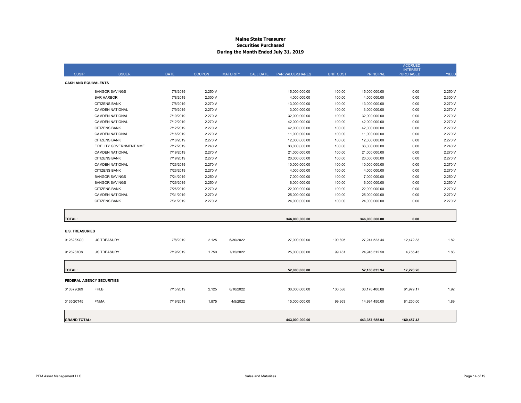#### **Maine State Treasurer Securities PurchasedDuring the Month Ended July 31, 2019**

|                             |                                  |             |               |                 |                  |                  |                  |                  | <b>ACCRUED</b><br><b>INTEREST</b> |              |
|-----------------------------|----------------------------------|-------------|---------------|-----------------|------------------|------------------|------------------|------------------|-----------------------------------|--------------|
| <b>CUSIP</b>                | <b>ISSUER</b>                    | <b>DATE</b> | <b>COUPON</b> | <b>MATURITY</b> | <b>CALL DATE</b> | PAR VALUE/SHARES | <b>UNIT COST</b> | <b>PRINCIPAL</b> | <b>PURCHASED</b>                  | <b>YIELD</b> |
| <b>CASH AND EQUIVALENTS</b> |                                  |             |               |                 |                  |                  |                  |                  |                                   |              |
|                             | <b>BANGOR SAVINGS</b>            | 7/8/2019    | 2.250 V       |                 |                  | 15,000,000.00    | 100.00           | 15,000,000.00    | 0.00                              | 2.250 V      |
|                             | <b>BAR HARBOR</b>                | 7/8/2019    | 2.300 V       |                 |                  | 4,000,000.00     | 100.00           | 4,000,000.00     | 0.00                              | 2.300 V      |
|                             | <b>CITIZENS BANK</b>             | 7/8/2019    | 2.270 V       |                 |                  | 13,000,000.00    | 100.00           | 13,000,000.00    | 0.00                              | 2.270 V      |
|                             | <b>CAMDEN NATIONAL</b>           | 7/9/2019    | 2.270 V       |                 |                  | 3,000,000.00     | 100.00           | 3,000,000.00     | 0.00                              | 2.270 V      |
|                             | <b>CAMDEN NATIONAL</b>           | 7/10/2019   | 2.270 V       |                 |                  | 32,000,000.00    | 100.00           | 32,000,000.00    | 0.00                              | 2.270 V      |
|                             | <b>CAMDEN NATIONAL</b>           | 7/12/2019   | 2.270 V       |                 |                  | 42,000,000.00    | 100.00           | 42,000,000.00    | 0.00                              | 2.270 V      |
|                             | <b>CITIZENS BANK</b>             | 7/12/2019   | 2.270 V       |                 |                  | 42,000,000.00    | 100.00           | 42,000,000.00    | 0.00                              | 2.270 V      |
|                             | <b>CAMDEN NATIONAL</b>           | 7/16/2019   | 2.270 V       |                 |                  | 11,000,000.00    | 100.00           | 11,000,000.00    | 0.00                              | 2.270 V      |
|                             | <b>CITIZENS BANK</b>             | 7/16/2019   | 2.270 V       |                 |                  | 12,000,000.00    | 100.00           | 12,000,000.00    | 0.00                              | 2.270 V      |
|                             | FIDELITY GOVERNMENT MMF          | 7/17/2019   | 2.240 V       |                 |                  | 33,000,000.00    | 100.00           | 33,000,000.00    | 0.00                              | 2.240 V      |
|                             | <b>CAMDEN NATIONAL</b>           | 7/19/2019   | 2.270 V       |                 |                  | 21,000,000.00    | 100.00           | 21,000,000.00    | 0.00                              | 2.270 V      |
|                             | <b>CITIZENS BANK</b>             | 7/19/2019   | 2.270 V       |                 |                  | 20,000,000.00    | 100.00           | 20,000,000.00    | 0.00                              | 2.270 V      |
|                             | <b>CAMDEN NATIONAL</b>           | 7/23/2019   | 2.270 V       |                 |                  | 10,000,000.00    | 100.00           | 10,000,000.00    | 0.00                              | 2.270 V      |
|                             | <b>CITIZENS BANK</b>             | 7/23/2019   | 2.270 V       |                 |                  | 4,000,000.00     | 100.00           | 4,000,000.00     | 0.00                              | 2.270 V      |
|                             | <b>BANGOR SAVINGS</b>            | 7/24/2019   | 2.250 V       |                 |                  | 7,000,000.00     | 100.00           | 7,000,000.00     | 0.00                              | 2.250 V      |
|                             | <b>BANGOR SAVINGS</b>            | 7/26/2019   | 2.250 V       |                 |                  | 6,000,000.00     | 100.00           | 6,000,000.00     | 0.00                              | 2.250 V      |
|                             | <b>CITIZENS BANK</b>             | 7/26/2019   | 2.270 V       |                 |                  | 22,000,000.00    | 100.00           | 22,000,000.00    | 0.00                              | 2.270 V      |
|                             | <b>CAMDEN NATIONAL</b>           | 7/31/2019   | 2.270 V       |                 |                  | 25,000,000.00    | 100.00           | 25,000,000.00    | 0.00                              | 2.270 V      |
|                             | <b>CITIZENS BANK</b>             | 7/31/2019   | 2.270 V       |                 |                  | 24,000,000.00    | 100.00           | 24,000,000.00    | 0.00                              | 2.270 V      |
| <b>TOTAL:</b>               |                                  |             |               |                 |                  | 346,000,000.00   |                  | 346,000,000.00   | 0.00                              |              |
|                             |                                  |             |               |                 |                  |                  |                  |                  |                                   |              |
| <b>U.S. TREASURIES</b>      |                                  |             |               |                 |                  |                  |                  |                  |                                   |              |
| 912828XG0                   | <b>US TREASURY</b>               | 7/8/2019    | 2.125         | 6/30/2022       |                  | 27,000,000.00    | 100.895          | 27,241,523.44    | 12,472.83                         | 1.82         |
| 9128287C8                   | <b>US TREASURY</b>               | 7/19/2019   | 1.750         | 7/15/2022       |                  | 25,000,000.00    | 99.781           | 24,945,312.50    | 4,755.43                          | 1.83         |
|                             |                                  |             |               |                 |                  |                  |                  |                  |                                   |              |
| <b>TOTAL:</b>               |                                  |             |               |                 |                  | 52,000,000.00    |                  | 52,186,835.94    | 17,228.26                         |              |
|                             | <b>FEDERAL AGENCY SECURITIES</b> |             |               |                 |                  |                  |                  |                  |                                   |              |
| 313379Q69                   | <b>FHLB</b>                      | 7/15/2019   | 2.125         | 6/10/2022       |                  | 30,000,000.00    | 100.588          | 30,176,400.00    | 61,979.17                         | 1.92         |
| 3135G0T45                   | <b>FNMA</b>                      | 7/19/2019   | 1.875         | 4/5/2022        |                  | 15,000,000.00    | 99.963           | 14,994,450.00    | 81,250.00                         | 1.89         |
| <b>GRAND TOTAL:</b>         |                                  |             |               |                 |                  | 443,000,000.00   |                  | 443,357,685.94   | 160,457.43                        |              |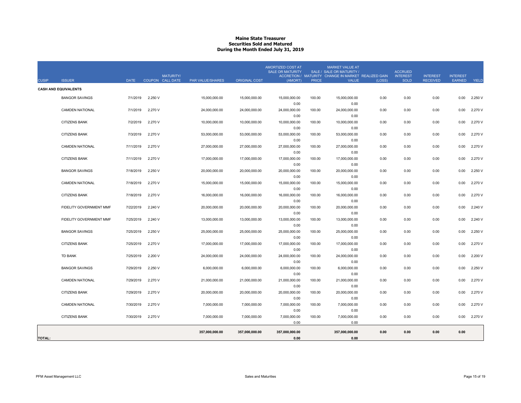#### **Maine State Treasurer Securities Sold and MaturedDuring the Month Ended July 31, 2019**

|               |                             |             | <b>MATURITY/</b> |                         |                      | AMORTIZED COST AT<br><b>SALE OR MATURITY</b> |              | <b>MARKET VALUE AT</b><br>SALE / SALE OR MATURITY /<br>ACCRETION / MATURITY CHANGE IN MARKET REALIZED GAIN |        | <b>ACCRUED</b><br><b>INTEREST</b> | <b>INTEREST</b> | <b>INTEREST</b> |         |
|---------------|-----------------------------|-------------|------------------|-------------------------|----------------------|----------------------------------------------|--------------|------------------------------------------------------------------------------------------------------------|--------|-----------------------------------|-----------------|-----------------|---------|
| <b>CUSIP</b>  | <b>ISSUER</b>               | <b>DATE</b> | COUPON CALL DATE | <b>PAR VALUE/SHARES</b> | <b>ORIGINAL COST</b> | (AMORT)                                      | <b>PRICE</b> | <b>VALUE</b>                                                                                               | (LOSS) | <b>SOLD</b>                       | <b>RECEIVED</b> | <b>EARNED</b>   | YIELD   |
|               | <b>CASH AND EQUIVALENTS</b> |             |                  |                         |                      |                                              |              |                                                                                                            |        |                                   |                 |                 |         |
|               | <b>BANGOR SAVINGS</b>       | 7/1/2019    | 2.250 V          | 15.000.000.00           | 15,000,000.00        | 15,000,000.00                                | 100.00       | 15,000,000.00                                                                                              | 0.00   | 0.00                              | 0.00            | 0.00            | 2.250 V |
|               |                             |             |                  |                         |                      | 0.00                                         |              | 0.00                                                                                                       |        |                                   |                 |                 |         |
|               | <b>CAMDEN NATIONAL</b>      | 7/1/2019    | 2.270 V          | 24.000.000.00           | 24,000,000.00        | 24,000,000.00                                | 100.00       | 24,000,000.00                                                                                              | 0.00   | 0.00                              | 0.00            | 0.00            | 2.270 V |
|               |                             |             |                  |                         |                      | 0.00                                         |              | 0.00                                                                                                       |        |                                   |                 |                 |         |
|               | <b>CITIZENS BANK</b>        | 7/2/2019    | 2.270 V          | 10.000.000.00           | 10,000,000.00        | 10,000,000.00                                | 100.00       | 10,000,000.00                                                                                              | 0.00   | 0.00                              | 0.00            | 0.00            | 2.270 V |
|               |                             |             |                  |                         |                      | 0.00                                         |              | 0.00                                                                                                       |        |                                   |                 |                 |         |
|               | <b>CITIZENS BANK</b>        | 7/3/2019    | 2.270 V          | 53.000.000.00           | 53,000,000.00        | 53,000,000.00                                | 100.00       | 53,000,000.00                                                                                              | 0.00   | 0.00                              | 0.00            | 0.00            | 2.270 V |
|               |                             |             |                  |                         |                      | 0.00                                         |              | 0.00                                                                                                       |        |                                   |                 |                 |         |
|               | <b>CAMDEN NATIONAL</b>      | 7/11/2019   | 2.270 V          | 27,000,000.00           | 27,000,000.00        | 27,000,000.00                                | 100.00       | 27,000,000.00                                                                                              | 0.00   | 0.00                              | 0.00            | 0.00            | 2.270 V |
|               |                             |             |                  |                         |                      | 0.00                                         |              | 0.00                                                                                                       |        |                                   |                 |                 |         |
|               | <b>CITIZENS BANK</b>        | 7/11/2019   | 2.270 V          | 17,000,000.00           | 17,000,000.00        | 17,000,000.00                                | 100.00       | 17,000,000.00                                                                                              | 0.00   | 0.00                              | 0.00            | 0.00            | 2.270 V |
|               |                             |             |                  |                         |                      | 0.00                                         |              | 0.00                                                                                                       |        |                                   |                 |                 |         |
|               | <b>BANGOR SAVINGS</b>       | 7/18/2019   | 2.250 V          | 20,000,000.00           | 20,000,000.00        | 20,000,000.00                                | 100.00       | 20,000,000.00                                                                                              | 0.00   | 0.00                              | 0.00            | 0.00            | 2.250 V |
|               |                             |             |                  |                         |                      | 0.00                                         |              | 0.00                                                                                                       |        |                                   |                 |                 |         |
|               | <b>CAMDEN NATIONAL</b>      | 7/18/2019   | 2.270 V          | 15,000,000.00           | 15,000,000.00        | 15,000,000.00                                | 100.00       | 15,000,000.00                                                                                              | 0.00   | 0.00                              | 0.00            | 0.00            | 2.270 V |
|               |                             |             |                  |                         |                      | 0.00                                         |              | 0.00                                                                                                       |        |                                   |                 |                 |         |
|               | <b>CITIZENS BANK</b>        | 7/18/2019   | 2.270 V          | 16,000,000.00           | 16,000,000.00        | 16,000,000.00                                | 100.00       | 16,000,000.00                                                                                              | 0.00   | 0.00                              | 0.00            | 0.00            | 2.270 V |
|               | FIDELITY GOVERNMENT MMF     | 7/22/2019   | 2.240 V          | 20,000,000.00           | 20,000,000.00        | 0.00<br>20,000,000.00                        | 100.00       | 0.00<br>20,000,000.00                                                                                      | 0.00   | 0.00                              | 0.00            | 0.00            | 2.240 V |
|               |                             |             |                  |                         |                      | 0.00                                         |              | 0.00                                                                                                       |        |                                   |                 |                 |         |
|               | FIDELITY GOVERNMENT MMF     | 7/25/2019   | 2.240 V          | 13,000,000.00           | 13,000,000.00        | 13,000,000.00                                | 100.00       | 13,000,000.00                                                                                              | 0.00   | 0.00                              | 0.00            | 0.00            | 2.240 V |
|               |                             |             |                  |                         |                      | 0.00                                         |              | 0.00                                                                                                       |        |                                   |                 |                 |         |
|               | <b>BANGOR SAVINGS</b>       | 7/25/2019   | 2.250 V          | 25,000,000.00           | 25,000,000.00        | 25,000,000.00                                | 100.00       | 25,000,000.00                                                                                              | 0.00   | 0.00                              | 0.00            | 0.00            | 2.250 V |
|               |                             |             |                  |                         |                      | 0.00                                         |              | 0.00                                                                                                       |        |                                   |                 |                 |         |
|               | <b>CITIZENS BANK</b>        | 7/25/2019   | 2.270 V          | 17,000,000.00           | 17,000,000.00        | 17,000,000.00                                | 100.00       | 17,000,000.00                                                                                              | 0.00   | 0.00                              | 0.00            | 0.00            | 2.270 V |
|               |                             |             |                  |                         |                      | 0.00                                         |              | 0.00                                                                                                       |        |                                   |                 |                 |         |
|               | <b>TD BANK</b>              | 7/25/2019   | 2.200 V          | 24,000,000.00           | 24,000,000.00        | 24,000,000.00                                | 100.00       | 24,000,000.00                                                                                              | 0.00   | 0.00                              | 0.00            | 0.00            | 2.200 V |
|               |                             |             |                  |                         |                      | 0.00                                         |              | 0.00                                                                                                       |        |                                   |                 |                 |         |
|               | <b>BANGOR SAVINGS</b>       | 7/29/2019   | 2.250 V          | 6,000,000.00            | 6,000,000.00         | 6,000,000.00                                 | 100.00       | 6,000,000.00                                                                                               | 0.00   | 0.00                              | 0.00            | 0.00            | 2.250 V |
|               |                             |             |                  |                         |                      | 0.00                                         |              | 0.00                                                                                                       |        |                                   |                 |                 |         |
|               | <b>CAMDEN NATIONAL</b>      | 7/29/2019   | 2.270 V          | 21,000,000.00           | 21,000,000.00        | 21,000,000.00                                | 100.00       | 21,000,000.00                                                                                              | 0.00   | 0.00                              | 0.00            | 0.00            | 2.270 V |
|               |                             |             |                  |                         |                      | 0.00                                         |              | 0.00                                                                                                       |        |                                   |                 |                 |         |
|               | <b>CITIZENS BANK</b>        | 7/29/2019   | 2.270 V          | 20,000,000.00           | 20,000,000.00        | 20,000,000.00                                | 100.00       | 20,000,000.00                                                                                              | 0.00   | 0.00                              | 0.00            | 0.00            | 2.270 V |
|               |                             |             |                  |                         |                      | 0.00                                         |              | 0.00                                                                                                       |        |                                   |                 |                 |         |
|               | <b>CAMDEN NATIONAL</b>      | 7/30/2019   | 2.270 V          | 7,000,000.00            | 7,000,000.00         | 7,000,000.00                                 | 100.00       | 7,000,000.00                                                                                               | 0.00   | 0.00                              | 0.00            | 0.00            | 2.270 V |
|               |                             |             |                  |                         |                      | 0.00                                         |              | 0.00                                                                                                       |        |                                   |                 |                 |         |
|               | <b>CITIZENS BANK</b>        | 7/30/2019   | 2.270 V          | 7,000,000.00            | 7,000,000.00         | 7,000,000.00                                 | 100.00       | 7,000,000.00                                                                                               | 0.00   | 0.00                              | 0.00            | 0.00            | 2.270 V |
|               |                             |             |                  |                         |                      | 0.00                                         |              | 0.00                                                                                                       |        |                                   |                 |                 |         |
|               |                             |             |                  | 357,000,000.00          | 357,000,000.00       | 357,000,000.00                               |              | 357,000,000.00                                                                                             | 0.00   | 0.00                              | 0.00            | 0.00            |         |
| <b>TOTAL:</b> |                             |             |                  |                         |                      | 0.00                                         |              | 0.00                                                                                                       |        |                                   |                 |                 |         |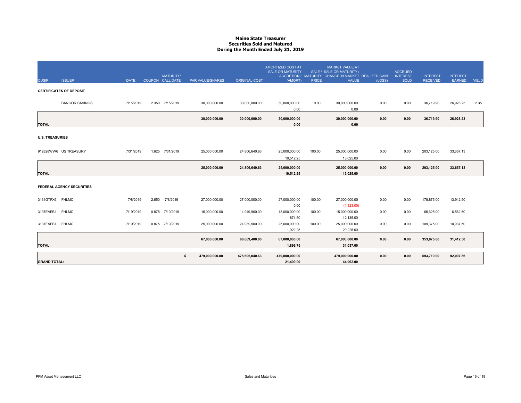#### **Maine State Treasurer Securities Sold and MaturedDuring the Month Ended July 31, 2019**

| <b>CUSIP</b>           | <b>ISSUER</b>                    | <b>DATE</b> |       | <b>MATURITY/</b><br>COUPON CALL DATE | <b>PAR VALUE/SHARES</b> | <b>ORIGINAL COST</b> | AMORTIZED COST AT<br><b>SALE OR MATURITY</b><br>(AMORT) | <b>PRICE</b> | <b>MARKET VALUE AT</b><br>SALE / SALE OR MATURITY /<br>ACCRETION / MATURITY CHANGE IN MARKET REALIZED GAIN<br><b>VALUE</b> | (LOSS) | <b>ACCRUED</b><br><b>INTEREST</b><br><b>SOLD</b> | <b>INTEREST</b><br><b>RECEIVED</b> | <b>INTEREST</b><br>EARNED | <b>YIELD</b> |
|------------------------|----------------------------------|-------------|-------|--------------------------------------|-------------------------|----------------------|---------------------------------------------------------|--------------|----------------------------------------------------------------------------------------------------------------------------|--------|--------------------------------------------------|------------------------------------|---------------------------|--------------|
|                        | <b>CERTIFICATES OF DEPOSIT</b>   |             |       |                                      |                         |                      |                                                         |              |                                                                                                                            |        |                                                  |                                    |                           |              |
|                        | <b>BANGOR SAVINGS</b>            | 7/15/2019   |       | 2.350 7/15/2019                      | 30,000,000.00           | 30,000,000.00        | 30,000,000.00<br>0.00                                   | 0.00         | 30,000,000.00<br>0.00                                                                                                      | 0.00   | 0.00                                             | 36,719.90                          | 26,928.23                 | 2.35         |
| <b>TOTAL:</b>          |                                  |             |       |                                      | 30,000,000.00           | 30,000,000.00        | 30,000,000.00<br>0.00                                   |              | 30,000,000.00<br>0.00                                                                                                      | 0.00   | 0.00                                             | 36,719.90                          | 26,928.23                 |              |
| <b>U.S. TREASURIES</b> |                                  |             |       |                                      |                         |                      |                                                         |              |                                                                                                                            |        |                                                  |                                    |                           |              |
|                        | 912828WW6 US TREASURY            | 7/31/2019   | 1.625 | 7/31/2019                            | 25,000,000.00           | 24,806,640.63        | 25,000,000.00<br>19,512.25                              | 100.00       | 25,000,000.00<br>13,025.00                                                                                                 | 0.00   | 0.00                                             | 203,125.00                         | 33,667.13                 |              |
| <b>TOTAL:</b>          |                                  |             |       |                                      | 25,000,000.00           | 24,806,640.63        | 25,000,000.00<br>19,512.25                              |              | 25,000,000.00<br>13.025.00                                                                                                 | 0.00   | 0.00                                             | 203,125.00                         | 33,667.13                 |              |
|                        | <b>FEDERAL AGENCY SECURITIES</b> |             |       |                                      |                         |                      |                                                         |              |                                                                                                                            |        |                                                  |                                    |                           |              |
| 3134GTFX6 FHLMC        |                                  | 7/8/2019    | 2.650 | 7/8/2019                             | 27,000,000.00           | 27,000,000.00        | 27,000,000.00<br>0.00                                   | 100.00       | 27,000,000.00<br>(1,323.00)                                                                                                | 0.00   | 0.00                                             | 178,875.00                         | 13,912.50                 |              |
| 3137EAEB1 . FHLMC      |                                  | 7/19/2019   | 0.875 | 7/19/2019                            | 15,000,000.00           | 14,949,900.00        | 15,000,000.00<br>874.50                                 | 100.00       | 15,000,000.00<br>12,135.00                                                                                                 | 0.00   | 0.00                                             | 65,625.00                          | 6,562.50                  |              |
| 3137EAEB1 FHLMC        |                                  | 7/19/2019   |       | 0.875 7/19/2019                      | 25,000,000.00           | 24,939,500.00        | 25,000,000.00<br>1,022.25                               | 100.00       | 25,000,000.00<br>20,225.00                                                                                                 | 0.00   | 0.00                                             | 109,375.00                         | 10,937.50                 |              |
| <b>TOTAL:</b>          |                                  |             |       |                                      | 67,000,000.00           | 66,889,400.00        | 67,000,000.00<br>1,896.75                               |              | 67,000,000.00<br>31,037.00                                                                                                 | 0.00   | 0.00                                             | 353,875.00                         | 31,412.50                 |              |
| <b>GRAND TOTAL:</b>    |                                  |             |       | \$                                   | 479,000,000.00          | 478,696,040.63       | 479,000,000.00<br>21.409.00                             |              | 479,000,000.00<br>44.062.00                                                                                                | 0.00   | 0.00                                             | 593,719.90                         | 92,007.86                 |              |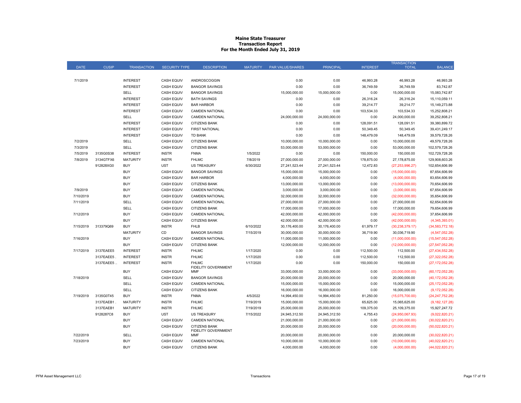#### **Maine State Treasurer Transaction Report For the Month Ended July 31, 2019**

|             |              |                    |                      |                                                    |                 |                         |                  |                 | TRANSACTION       |                   |
|-------------|--------------|--------------------|----------------------|----------------------------------------------------|-----------------|-------------------------|------------------|-----------------|-------------------|-------------------|
| <b>DATE</b> | <b>CUSIP</b> | <b>TRANSACTION</b> | <b>SECURITY TYPE</b> | <b>DESCRIPTION</b>                                 | <b>MATURITY</b> | <b>PAR VALUE/SHARES</b> | <b>PRINCIPAL</b> | <b>INTEREST</b> | <b>TOTAL</b>      | <b>BALANCE</b>    |
|             |              |                    |                      |                                                    |                 |                         |                  |                 |                   |                   |
| 7/1/2019    |              | <b>INTEREST</b>    | <b>CASH EQUIV</b>    | ANDROSCOGGIN                                       |                 | 0.00                    | 0.00             | 46,993.28       | 46,993.28         | 46,993.28         |
|             |              | <b>INTEREST</b>    | <b>CASH EQUIV</b>    | <b>BANGOR SAVINGS</b>                              |                 | 0.00                    | 0.00             | 36,749.59       | 36,749.59         | 83,742.87         |
|             |              | <b>SELL</b>        | <b>CASH EQUIV</b>    | <b>BANGOR SAVINGS</b>                              |                 | 15,000,000.00           | 15,000,000.00    | 0.00            | 15,000,000.00     | 15,083,742.87     |
|             |              | <b>INTEREST</b>    | <b>CASH EQUIV</b>    | <b>BATH SAVINGS</b>                                |                 | 0.00                    | 0.00             | 26,316.24       | 26,316.24         | 15,110,059.11     |
|             |              | <b>INTEREST</b>    | <b>CASH EQUIV</b>    | <b>BAR HARBOR</b>                                  |                 | 0.00                    | 0.00             | 39,214.77       | 39,214.77         | 15, 149, 273.88   |
|             |              | <b>INTEREST</b>    | <b>CASH EQUIV</b>    | <b>CAMDEN NATIONAL</b>                             |                 | 0.00                    | 0.00             | 103,534.33      | 103,534.33        | 15,252,808.21     |
|             |              | <b>SELL</b>        | <b>CASH EQUIV</b>    | <b>CAMDEN NATIONAL</b>                             |                 | 24,000,000.00           | 24,000,000.00    | 0.00            | 24,000,000.00     | 39,252,808.21     |
|             |              | <b>INTEREST</b>    | <b>CASH EQUIV</b>    | CITIZENS BANK                                      |                 | 0.00                    | 0.00             | 128,091.51      | 128,091.51        | 39.380.899.72     |
|             |              | <b>INTEREST</b>    | <b>CASH EQUIV</b>    | <b>FIRST NATIONAL</b>                              |                 | 0.00                    | 0.00             | 50,349.45       | 50,349.45         | 39,431,249.17     |
|             |              | <b>INTEREST</b>    | <b>CASH EQUIV</b>    | <b>TD BANK</b>                                     |                 | 0.00                    | 0.00             | 148,479.09      | 148,479.09        | 39,579,728.26     |
| 7/2/2019    |              | <b>SELL</b>        | <b>CASH EQUIV</b>    | <b>CITIZENS BANK</b>                               |                 | 10,000,000.00           | 10,000,000.00    | 0.00            | 10,000,000.00     | 49,579,728.26     |
| 7/3/2019    |              | <b>SELL</b>        | <b>CASH EQUIV</b>    | <b>CITIZENS BANK</b>                               |                 | 53,000,000.00           | 53,000,000.00    | 0.00            | 53,000,000.00     | 102,579,728.26    |
| 7/5/2019    | 3135G0S38    | <b>INTEREST</b>    | <b>INSTR</b>         | <b>FNMA</b>                                        | 1/5/2022        | 0.00                    | 0.00             | 150,000.00      | 150,000.00        | 102,729,728.26    |
| 7/8/2019    | 3134GTFX6    | <b>MATURITY</b>    | <b>INSTR</b>         | <b>FHLMC</b>                                       | 7/8/2019        | 27,000,000.00           | 27,000,000.00    | 178,875.00      | 27,178,875.00     | 129,908,603.26    |
|             | 912828XG0    | <b>BUY</b>         | <b>UST</b>           | <b>US TREASURY</b>                                 | 6/30/2022       | 27,241,523.44           | 27,241,523.44    | 12,472.83       | (27, 253, 996.27) | 102,654,606.99    |
|             |              | <b>BUY</b>         | <b>CASH EQUIV</b>    | <b>BANGOR SAVINGS</b>                              |                 | 15,000,000.00           | 15,000,000.00    | 0.00            | (15,000,000.00)   | 87,654,606.99     |
|             |              | <b>BUY</b>         | <b>CASH EQUIV</b>    | <b>BAR HARBOR</b>                                  |                 | 4,000,000.00            | 4,000,000.00     | 0.00            | (4,000,000.00)    | 83,654,606.99     |
|             |              | <b>BUY</b>         | <b>CASH EQUIV</b>    | <b>CITIZENS BANK</b>                               |                 | 13,000,000.00           | 13,000,000.00    | 0.00            | (13,000,000.00)   | 70,654,606.99     |
| 7/9/2019    |              | <b>BUY</b>         | <b>CASH EQUIV</b>    | <b>CAMDEN NATIONAL</b>                             |                 | 3,000,000.00            | 3,000,000.00     | 0.00            | (3,000,000.00)    | 67,654,606.99     |
| 7/10/2019   |              | <b>BUY</b>         | <b>CASH EQUIV</b>    | <b>CAMDEN NATIONAL</b>                             |                 | 32,000,000.00           | 32,000,000.00    | 0.00            | (32,000,000.00)   | 35,654,606.99     |
| 7/11/2019   |              | <b>SELL</b>        | <b>CASH EQUIV</b>    | <b>CAMDEN NATIONAL</b>                             |                 | 27,000,000.00           | 27,000,000.00    | 0.00            | 27,000,000.00     | 62,654,606.99     |
|             |              | <b>SELL</b>        | <b>CASH EQUIV</b>    | <b>CITIZENS BANK</b>                               |                 | 17,000,000.00           | 17,000,000.00    | 0.00            | 17,000,000.00     | 79,654,606.99     |
| 7/12/2019   |              | <b>BUY</b>         | <b>CASH EQUIV</b>    | <b>CAMDEN NATIONAL</b>                             |                 | 42,000,000.00           | 42,000,000.00    | 0.00            | (42,000,000.00)   | 37,654,606.99     |
|             |              | <b>BUY</b>         | <b>CASH EQUIV</b>    | <b>CITIZENS BANK</b>                               |                 | 42,000,000.00           | 42,000,000.00    | 0.00            | (42,000,000.00)   | (4,345,393.01)    |
| 7/15/2019   | 313379Q69    | <b>BUY</b>         | <b>INSTR</b>         | <b>FHLB</b>                                        | 6/10/2022       | 30,176,400.00           | 30,176,400.00    | 61,979.17       | (30, 238, 379.17) | (34, 583, 772.18) |
|             |              | <b>MATURITY</b>    | CD                   | <b>BANGOR SAVINGS</b>                              | 7/15/2019       | 30,000,000.00           | 30,000,000.00    | 36,719.90       | 30,036,719.90     | (4,547,052.28)    |
| 7/16/2019   |              | <b>BUY</b>         | <b>CASH EQUIV</b>    | <b>CAMDEN NATIONAL</b>                             |                 | 11,000,000.00           | 11,000,000.00    | 0.00            | (11,000,000.00)   | (15,547,052.28)   |
|             |              | <b>BUY</b>         | <b>CASH EQUIV</b>    | <b>CITIZENS BANK</b>                               |                 | 12,000,000.00           | 12,000,000.00    | 0.00            | (12,000,000.00)   | (27, 547, 052.28) |
| 7/17/2019   | 3137EAEE5    | <b>INTEREST</b>    | <b>INSTR</b>         | <b>FHLMC</b>                                       | 1/17/2020       | 0.00                    | 0.00             | 112,500.00      | 112,500.00        | (27, 434, 552.28) |
|             | 3137EAEE5    | <b>INTEREST</b>    | <b>INSTR</b>         | <b>FHLMC</b>                                       | 1/17/2020       | 0.00                    | 0.00             | 112,500.00      | 112,500.00        | (27, 322, 052.28) |
|             | 3137EAEE5    | <b>INTEREST</b>    | <b>INSTR</b>         | <b>FHLMC</b><br>FIDELITY GOVERNMENT                | 1/17/2020       | 0.00                    | 0.00             | 150,000.00      | 150,000.00        | (27, 172, 052.28) |
|             |              | <b>BUY</b>         | <b>CASH EQUIV</b>    | <b>MMF</b>                                         |                 | 33,000,000.00           | 33,000,000.00    | 0.00            | (33,000,000.00)   | (60, 172, 052.28) |
| 7/18/2019   |              | SELL               | <b>CASH EQUIV</b>    | <b>BANGOR SAVINGS</b>                              |                 | 20,000,000.00           | 20,000,000.00    | 0.00            | 20,000,000.00     | (40, 172, 052.28) |
|             |              | <b>SELL</b>        | <b>CASH EQUIV</b>    | <b>CAMDEN NATIONAL</b>                             |                 | 15,000,000.00           | 15,000,000.00    | 0.00            | 15,000,000.00     | (25, 172, 052.28) |
|             |              | SELL               | <b>CASH EQUIV</b>    | <b>CITIZENS BANK</b>                               |                 | 16,000,000.00           | 16,000,000.00    | 0.00            | 16,000,000.00     | (9, 172, 052.28)  |
| 7/19/2019   | 3135G0T45    | <b>BUY</b>         | <b>INSTR</b>         | <b>FNMA</b>                                        | 4/5/2022        | 14,994,450.00           | 14,994,450.00    | 81,250.00       | (15,075,700.00)   | (24, 247, 752.28) |
|             | 3137EAEB1    | <b>MATURITY</b>    | <b>INSTR</b>         | <b>FHLMC</b>                                       | 7/19/2019       | 15,000,000.00           | 15,000,000.00    | 65,625.00       | 15,065,625.00     | (9, 182, 127.28)  |
|             | 3137EAEB1    | <b>MATURITY</b>    | <b>INSTR</b>         | <b>FHLMC</b>                                       | 7/19/2019       | 25,000,000.00           | 25,000,000.00    | 109,375.00      | 25,109,375.00     | 15,927,247.72     |
|             | 9128287C8    | <b>BUY</b>         | <b>UST</b>           | <b>US TREASURY</b>                                 | 7/15/2022       | 24,945,312.50           | 24,945,312.50    | 4,755.43        | (24,950,067.93)   | (9,022,820.21)    |
|             |              | <b>BUY</b>         | <b>CASH EQUIV</b>    | <b>CAMDEN NATIONAL</b>                             |                 | 21,000,000.00           | 21,000,000.00    | 0.00            | (21,000,000.00)   | (30,022,820.21)   |
|             |              | <b>BUY</b>         | <b>CASH EQUIV</b>    | <b>CITIZENS BANK</b><br><b>FIDELITY GOVERNMENT</b> |                 | 20,000,000.00           | 20,000,000.00    | 0.00            | (20,000,000.00)   | (50,022,820.21)   |
| 7/22/2019   |              | SELL               | <b>CASH EQUIV</b>    | <b>MMF</b>                                         |                 | 20,000,000.00           | 20,000,000.00    | 0.00            | 20,000,000.00     | (30,022,820.21)   |
| 7/23/2019   |              | <b>BUY</b>         | <b>CASH EQUIV</b>    | <b>CAMDEN NATIONAL</b>                             |                 | 10,000,000.00           | 10,000,000.00    | 0.00            | (10,000,000.00)   | (40,022,820.21)   |
|             |              | <b>BUY</b>         | <b>CASH EQUIV</b>    | <b>CITIZENS BANK</b>                               |                 | 4,000,000.00            | 4,000,000.00     | 0.00            | (4,000,000.00)    | (44,022,820.21)   |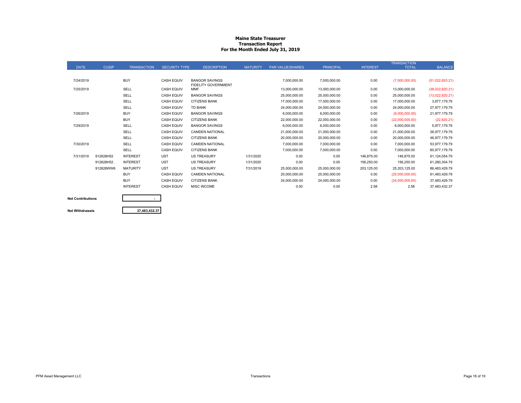#### **Maine State Treasurer Transaction Report For the Month Ended July 31, 2019**

|             |              |                    |                      |                                                     |                 |                         |                  |                 | <b>TRANSACTION</b> |                 |
|-------------|--------------|--------------------|----------------------|-----------------------------------------------------|-----------------|-------------------------|------------------|-----------------|--------------------|-----------------|
| <b>DATE</b> | <b>CUSIP</b> | <b>TRANSACTION</b> | <b>SECURITY TYPE</b> | <b>DESCRIPTION</b>                                  | <b>MATURITY</b> | <b>PAR VALUE/SHARES</b> | <b>PRINCIPAL</b> | <b>INTEREST</b> | <b>TOTAL</b>       | <b>BALANCE</b>  |
|             |              |                    |                      |                                                     |                 |                         |                  |                 |                    |                 |
| 7/24/2019   |              | <b>BUY</b>         | <b>CASH EQUIV</b>    | <b>BANGOR SAVINGS</b><br><b>FIDELITY GOVERNMENT</b> |                 | 7,000,000.00            | 7,000,000.00     | 0.00            | (7,000,000.00)     | (51,022,820.21) |
| 7/25/2019   |              | <b>SELL</b>        | <b>CASH EQUIV</b>    | <b>MMF</b>                                          |                 | 13,000,000.00           | 13,000,000.00    | 0.00            | 13,000,000.00      | (38,022,820.21) |
|             |              | <b>SELL</b>        | <b>CASH EQUIV</b>    | <b>BANGOR SAVINGS</b>                               |                 | 25,000,000.00           | 25,000,000.00    | 0.00            | 25,000,000.00      | (13,022,820.21) |
|             |              | SELL               | <b>CASH EQUIV</b>    | <b>CITIZENS BANK</b>                                |                 | 17,000,000.00           | 17,000,000.00    | 0.00            | 17,000,000.00      | 3,977,179.79    |
|             |              | SELL               | <b>CASH EQUIV</b>    | <b>TD BANK</b>                                      |                 | 24,000,000.00           | 24,000,000.00    | 0.00            | 24,000,000.00      | 27,977,179.79   |
| 7/26/2019   |              | <b>BUY</b>         | <b>CASH EQUIV</b>    | <b>BANGOR SAVINGS</b>                               |                 | 6,000,000.00            | 6,000,000.00     | 0.00            | (6,000,000.00)     | 21,977,179.79   |
|             |              | <b>BUY</b>         | <b>CASH EQUIV</b>    | <b>CITIZENS BANK</b>                                |                 | 22,000,000.00           | 22,000,000.00    | 0.00            | (22,000,000.00)    | (22,820.21)     |
| 7/29/2019   |              | SELL               | <b>CASH EQUIV</b>    | <b>BANGOR SAVINGS</b>                               |                 | 6,000,000.00            | 6,000,000.00     | 0.00            | 6,000,000.00       | 5,977,179.79    |
|             |              | <b>SELL</b>        | <b>CASH EQUIV</b>    | <b>CAMDEN NATIONAL</b>                              |                 | 21,000,000.00           | 21,000,000.00    | 0.00            | 21,000,000.00      | 26,977,179.79   |
|             |              | SELL               | <b>CASH EQUIV</b>    | <b>CITIZENS BANK</b>                                |                 | 20,000,000.00           | 20,000,000.00    | 0.00            | 20,000,000.00      | 46,977,179.79   |
| 7/30/2019   |              | <b>SELL</b>        | <b>CASH EQUIV</b>    | <b>CAMDEN NATIONAL</b>                              |                 | 7,000,000.00            | 7,000,000.00     | 0.00            | 7,000,000.00       | 53,977,179.79   |
|             |              | SELL               | <b>CASH EQUIV</b>    | <b>CITIZENS BANK</b>                                |                 | 7,000,000.00            | 7,000,000.00     | 0.00            | 7,000,000.00       | 60.977.179.79   |
| 7/31/2019   | 912828H52    | <b>INTEREST</b>    | <b>UST</b>           | <b>US TREASURY</b>                                  | 1/31/2020       | 0.00                    | 0.00             | 146,875.00      | 146,875.00         | 61,124,054.79   |
|             | 912828H52    | <b>INTEREST</b>    | <b>UST</b>           | <b>US TREASURY</b>                                  | 1/31/2020       | 0.00                    | 0.00             | 156,250.00      | 156,250.00         | 61,280,304.79   |
|             | 912828WW6    | <b>MATURITY</b>    | <b>UST</b>           | <b>US TREASURY</b>                                  | 7/31/2019       | 25,000,000.00           | 25,000,000.00    | 203,125.00      | 25.203.125.00      | 86,483,429.79   |
|             |              | <b>BUY</b>         | <b>CASH EQUIV</b>    | <b>CAMDEN NATIONAL</b>                              |                 | 25,000,000.00           | 25,000,000.00    | 0.00            | (25,000,000.00)    | 61,483,429.79   |
|             |              | <b>BUY</b>         | <b>CASH EQUIV</b>    | <b>CITIZENS BANK</b>                                |                 | 24,000,000.00           | 24,000,000.00    | 0.00            | (24,000,000.00)    | 37,483,429.79   |
|             |              | <b>INTEREST</b>    | <b>CASH EQUIV</b>    | <b>MISC INCOME</b>                                  |                 | 0.00                    | 0.00             | 2.58            | 2.58               | 37,483,432.37   |
|             |              |                    |                      |                                                     |                 |                         |                  |                 |                    |                 |



**37,483,432.37**

**-**

PFM Asset Management LLC **Example 2006** Page 18 of 19 and 2006 Page 18 of 19 and 2007 Transactions Page 18 of 19